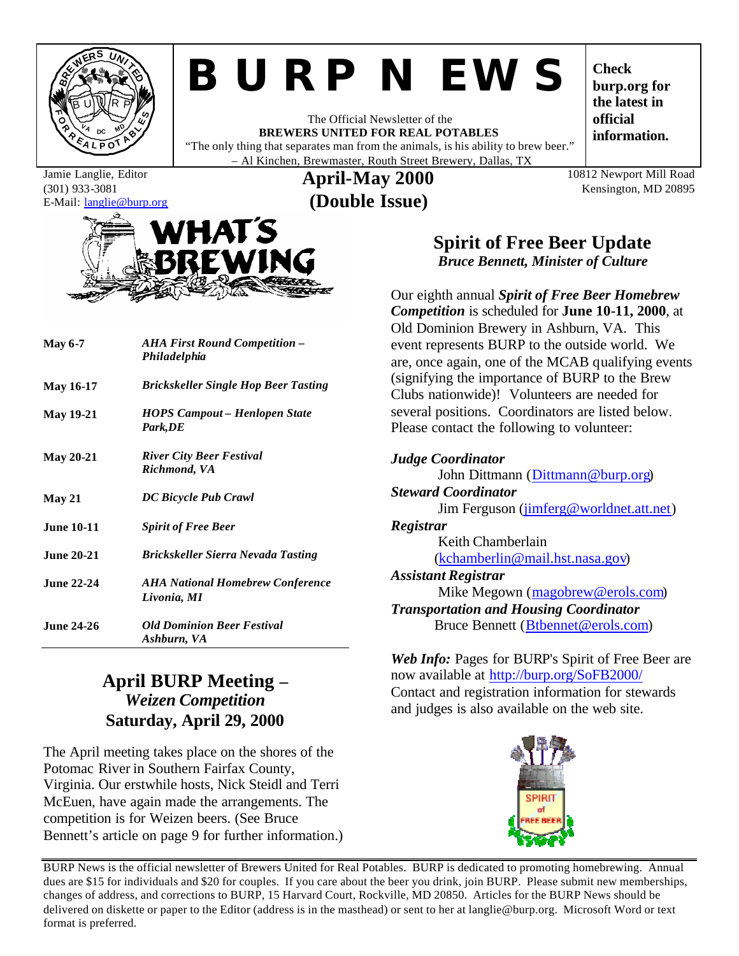

# *BURP NEWS*

The Official Newsletter of the **BREWERS UNITED FOR REAL POTABLES** "The only thing that separates man from the animals, is his ability to brew beer." – Al Kinchen, Brewmaster, Routh Street Brewery, Dallas, TX

**Check burp.org for the latest in official information.**

#### Jamie Langlie, Editor (301) 933-3081 E-Mail: langlie@burp.org

**April-May 2000 (Double Issue)**

10812 Newport Mill Road Kensington, MD 20895

# **HATS**

| <b>May 6-7</b>    | <b>AHA First Round Competition –</b><br>Philadelphia   |  |
|-------------------|--------------------------------------------------------|--|
| <b>May 16-17</b>  | <b>Brickskeller Single Hop Beer Tasting</b>            |  |
| <b>May 19-21</b>  | <b>HOPS Campout – Henlopen State</b><br>Park,DE        |  |
| <b>May 20-21</b>  | <b>River City Beer Festival</b><br>Richmond, VA        |  |
| May 21            | DC Bicycle Pub Crawl                                   |  |
| <b>June 10-11</b> | <b>Spirit of Free Beer</b>                             |  |
| <b>June 20-21</b> | Brickskeller Sierra Nevada Tasting                     |  |
| June 22-24        | <b>AHA National Homebrew Conference</b><br>Livonia, MI |  |
| June 24-26.       | <b>Old Dominion Beer Festival</b><br>Ashburn, VA       |  |

# **April BURP Meeting –** *Weizen Competition* **Saturday, April 29, 2000**

The April meeting takes place on the shores of the Potomac River in Southern Fairfax County, Virginia. Our erstwhile hosts, Nick Steidl and Terri McEuen, have again made the arrangements. The competition is for Weizen beers. (See Bruce Bennett's article on page 9 for further information.)

# **Spirit of Free Beer Update** *Bruce Bennett, Minister of Culture*

Our eighth annual *Spirit of Free Beer Homebrew Competition* is scheduled for **June 10-11, 2000**, at Old Dominion Brewery in Ashburn, VA. This event represents BURP to the outside world. We are, once again, one of the MCAB qualifying events (signifying the importance of BURP to the Brew Clubs nationwide)! Volunteers are needed for several positions. Coordinators are listed below. Please contact the following to volunteer:

| <b>Judge Coordinator</b>                         |  |  |
|--------------------------------------------------|--|--|
| John Dittmann (Dittmann@burp.org)                |  |  |
| <b>Steward Coordinator</b>                       |  |  |
| Jim Ferguson ( <i>jimferg@worldnet.att.net</i> ) |  |  |
| Registrar                                        |  |  |
| Keith Chamberlain                                |  |  |
| (kchamberlin@mail.hst.nasa.gov)                  |  |  |
| <b>Assistant Registrar</b>                       |  |  |
| Mike Megown (magobrew@erols.com)                 |  |  |
| <b>Transportation and Housing Coordinator</b>    |  |  |
| Bruce Bennett (Btbennet@erols.com)               |  |  |

*Web Info:* Pages for BURP's Spirit of Free Beer are now available at http://burp.org/SoFB2000/ Contact and registration information for stewards and judges is also available on the web site.



BURP News is the official newsletter of Brewers United for Real Potables. BURP is dedicated to promoting homebrewing. Annual dues are \$15 for individuals and \$20 for couples. If you care about the beer you drink, join BURP. Please submit new memberships, changes of address, and corrections to BURP, 15 Harvard Court, Rockville, MD 20850. Articles for the BURP News should be delivered on diskette or paper to the Editor (address is in the masthead) or sent to her at langlie@burp.org. Microsoft Word or text format is preferred.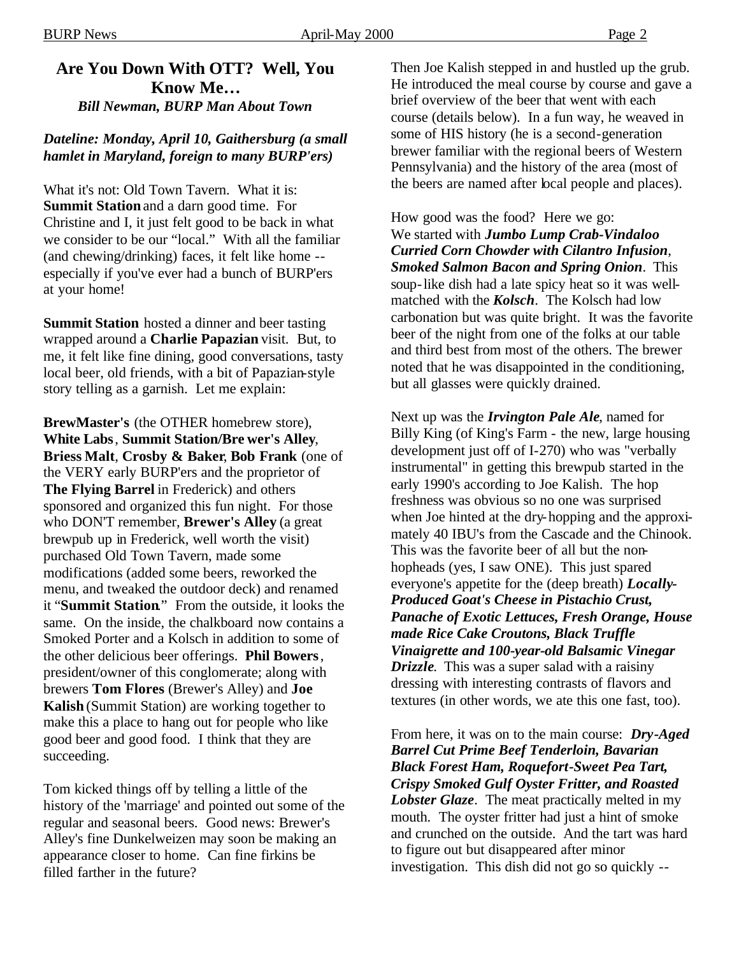# **Are You Down With OTT? Well, You Know Me…**

*Bill Newman, BURP Man About Town*

# *Dateline: Monday, April 10, Gaithersburg (a small hamlet in Maryland, foreign to many BURP'ers)*

What it's not: Old Town Tavern. What it is: **Summit Station** and a darn good time. For Christine and I, it just felt good to be back in what we consider to be our "local." With all the familiar (and chewing/drinking) faces, it felt like home - especially if you've ever had a bunch of BURP'ers at your home!

**Summit Station** hosted a dinner and beer tasting wrapped around a **Charlie Papazian** visit. But, to me, it felt like fine dining, good conversations, tasty local beer, old friends, with a bit of Papazian-style story telling as a garnish. Let me explain:

**BrewMaster's** (the OTHER homebrew store), **White Labs**, **Summit Station/Bre wer's Alley**, **Briess Malt**, **Crosby & Baker**, **Bob Frank** (one of the VERY early BURP'ers and the proprietor of **The Flying Barrel** in Frederick) and others sponsored and organized this fun night. For those who DON'T remember, **Brewer's Alley** (a great brewpub up in Frederick, well worth the visit) purchased Old Town Tavern, made some modifications (added some beers, reworked the menu, and tweaked the outdoor deck) and renamed it "**Summit Station**." From the outside, it looks the same. On the inside, the chalkboard now contains a Smoked Porter and a Kolsch in addition to some of the other delicious beer offerings. **Phil Bowers**, president/owner of this conglomerate; along with brewers **Tom Flores** (Brewer's Alley) and **Joe Kalish** (Summit Station) are working together to make this a place to hang out for people who like good beer and good food. I think that they are succeeding.

Tom kicked things off by telling a little of the history of the 'marriage' and pointed out some of the regular and seasonal beers. Good news: Brewer's Alley's fine Dunkelweizen may soon be making an appearance closer to home. Can fine firkins be filled farther in the future?

Then Joe Kalish stepped in and hustled up the grub. He introduced the meal course by course and gave a brief overview of the beer that went with each course (details below). In a fun way, he weaved in some of HIS history (he is a second-generation brewer familiar with the regional beers of Western Pennsylvania) and the history of the area (most of the beers are named after local people and places).

How good was the food? Here we go: We started with *Jumbo Lump Crab-Vindaloo Curried Corn Chowder with Cilantro Infusion*, *Smoked Salmon Bacon and Spring Onion*. This soup-like dish had a late spicy heat so it was wellmatched with the *Kolsch*. The Kolsch had low carbonation but was quite bright. It was the favorite beer of the night from one of the folks at our table and third best from most of the others. The brewer noted that he was disappointed in the conditioning, but all glasses were quickly drained.

Next up was the *Irvington Pale Ale*, named for Billy King (of King's Farm - the new, large housing development just off of I-270) who was "verbally instrumental" in getting this brewpub started in the early 1990's according to Joe Kalish. The hop freshness was obvious so no one was surprised when Joe hinted at the dry-hopping and the approximately 40 IBU's from the Cascade and the Chinook. This was the favorite beer of all but the nonhopheads (yes, I saw ONE). This just spared everyone's appetite for the (deep breath) *Locally-Produced Goat's Cheese in Pistachio Crust, Panache of Exotic Lettuces, Fresh Orange, House made Rice Cake Croutons, Black Truffle Vinaigrette and 100-year-old Balsamic Vinegar Drizzle*. This was a super salad with a raisiny dressing with interesting contrasts of flavors and textures (in other words, we ate this one fast, too).

From here, it was on to the main course: *Dry-Aged Barrel Cut Prime Beef Tenderloin, Bavarian Black Forest Ham, Roquefort-Sweet Pea Tart, Crispy Smoked Gulf Oyster Fritter, and Roasted Lobster Glaze*. The meat practically melted in my mouth. The oyster fritter had just a hint of smoke and crunched on the outside. And the tart was hard to figure out but disappeared after minor investigation. This dish did not go so quickly --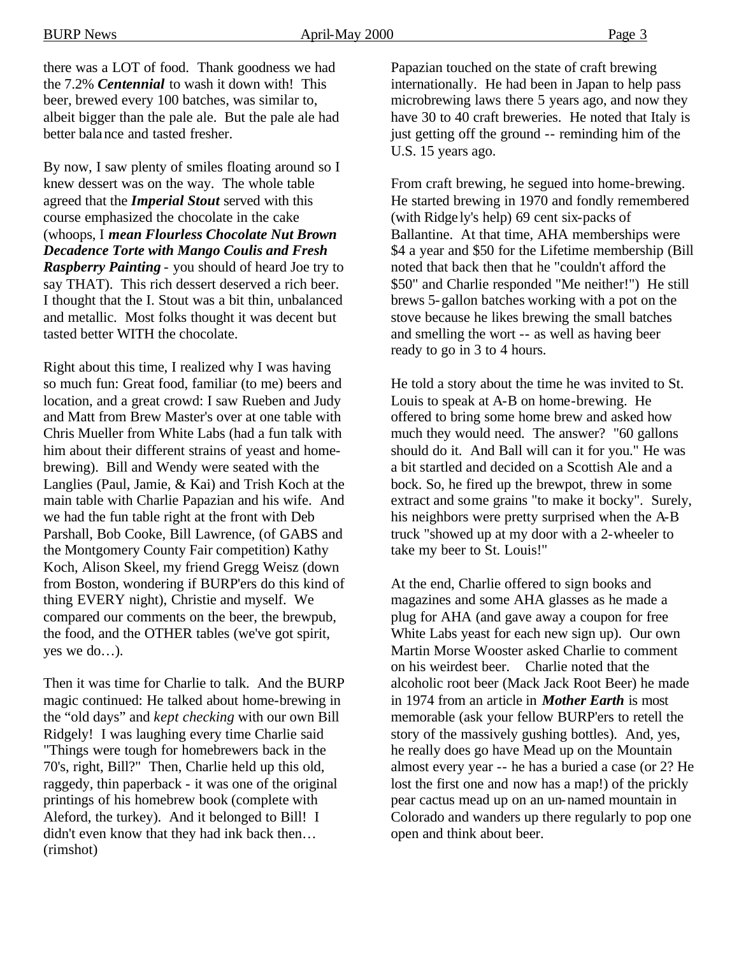there was a LOT of food. Thank goodness we had the 7.2% *Centennial* to wash it down with! This beer, brewed every 100 batches, was similar to, albeit bigger than the pale ale. But the pale ale had better balance and tasted fresher.

By now, I saw plenty of smiles floating around so I knew dessert was on the way. The whole table agreed that the *Imperial Stout* served with this course emphasized the chocolate in the cake (whoops, I *mean Flourless Chocolate Nut Brown Decadence Torte with Mango Coulis and Fresh Raspberry Painting* - you should of heard Joe try to say THAT). This rich dessert deserved a rich beer. I thought that the I. Stout was a bit thin, unbalanced and metallic. Most folks thought it was decent but tasted better WITH the chocolate.

Right about this time, I realized why I was having so much fun: Great food, familiar (to me) beers and location, and a great crowd: I saw Rueben and Judy and Matt from Brew Master's over at one table with Chris Mueller from White Labs (had a fun talk with him about their different strains of yeast and homebrewing). Bill and Wendy were seated with the Langlies (Paul, Jamie, & Kai) and Trish Koch at the main table with Charlie Papazian and his wife. And we had the fun table right at the front with Deb Parshall, Bob Cooke, Bill Lawrence, (of GABS and the Montgomery County Fair competition) Kathy Koch, Alison Skeel, my friend Gregg Weisz (down from Boston, wondering if BURP'ers do this kind of thing EVERY night), Christie and myself. We compared our comments on the beer, the brewpub, the food, and the OTHER tables (we've got spirit, yes we do…).

Then it was time for Charlie to talk. And the BURP magic continued: He talked about home-brewing in the "old days" and *kept checking* with our own Bill Ridgely! I was laughing every time Charlie said "Things were tough for homebrewers back in the 70's, right, Bill?" Then, Charlie held up this old, raggedy, thin paperback - it was one of the original printings of his homebrew book (complete with Aleford, the turkey). And it belonged to Bill! I didn't even know that they had ink back then… (rimshot)

Papazian touched on the state of craft brewing internationally. He had been in Japan to help pass microbrewing laws there 5 years ago, and now they have 30 to 40 craft breweries. He noted that Italy is just getting off the ground -- reminding him of the U.S. 15 years ago.

From craft brewing, he segued into home-brewing. He started brewing in 1970 and fondly remembered (with Ridge ly's help) 69 cent six-packs of Ballantine. At that time, AHA memberships were \$4 a year and \$50 for the Lifetime membership (Bill noted that back then that he "couldn't afford the \$50" and Charlie responded "Me neither!") He still brews 5-gallon batches working with a pot on the stove because he likes brewing the small batches and smelling the wort -- as well as having beer ready to go in 3 to 4 hours.

He told a story about the time he was invited to St. Louis to speak at A-B on home-brewing. He offered to bring some home brew and asked how much they would need. The answer? "60 gallons should do it. And Ball will can it for you." He was a bit startled and decided on a Scottish Ale and a bock. So, he fired up the brewpot, threw in some extract and some grains "to make it bocky". Surely, his neighbors were pretty surprised when the A-B truck "showed up at my door with a 2-wheeler to take my beer to St. Louis!"

At the end, Charlie offered to sign books and magazines and some AHA glasses as he made a plug for AHA (and gave away a coupon for free White Labs yeast for each new sign up). Our own Martin Morse Wooster asked Charlie to comment on his weirdest beer. Charlie noted that the alcoholic root beer (Mack Jack Root Beer) he made in 1974 from an article in *Mother Earth* is most memorable (ask your fellow BURP'ers to retell the story of the massively gushing bottles). And, yes, he really does go have Mead up on the Mountain almost every year -- he has a buried a case (or 2? He lost the first one and now has a map!) of the prickly pear cactus mead up on an un-named mountain in Colorado and wanders up there regularly to pop one open and think about beer.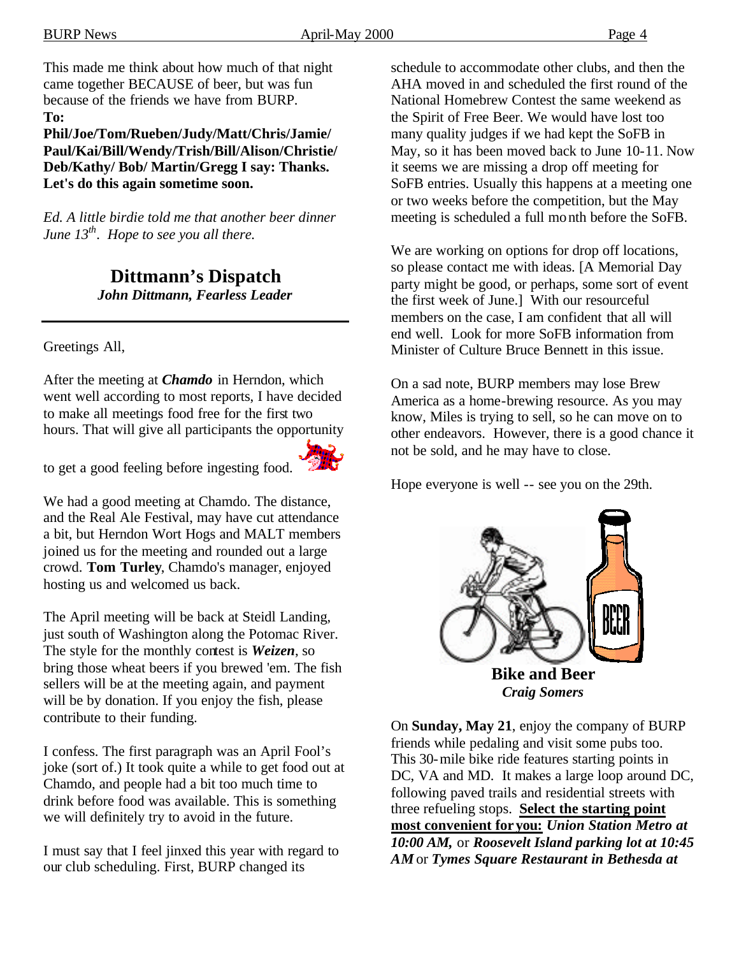This made me think about how much of that night came together BECAUSE of beer, but was fun because of the friends we have from BURP. **To:** 

**Phil/Joe/Tom/Rueben/Judy/Matt/Chris/Jamie/ Paul/Kai/Bill/Wendy/Trish/Bill/Alison/Christie/ Deb/Kathy/ Bob/ Martin/Gregg I say: Thanks. Let's do this again sometime soon.**

*Ed. A little birdie told me that another beer dinner June 13th. Hope to see you all there.*

> **Dittmann's Dispatch** *John Dittmann, Fearless Leader*

Greetings All,

After the meeting at *Chamdo* in Herndon, which went well according to most reports, I have decided to make all meetings food free for the first two hours. That will give all participants the opportunity

to get a good feeling before ingesting food.



The April meeting will be back at Steidl Landing, just south of Washington along the Potomac River. The style for the monthly contest is *Weizen*, so bring those wheat beers if you brewed 'em. The fish sellers will be at the meeting again, and payment will be by donation. If you enjoy the fish, please contribute to their funding.

I confess. The first paragraph was an April Fool's joke (sort of.) It took quite a while to get food out at Chamdo, and people had a bit too much time to drink before food was available. This is something we will definitely try to avoid in the future.

I must say that I feel jinxed this year with regard to our club scheduling. First, BURP changed its

schedule to accommodate other clubs, and then the AHA moved in and scheduled the first round of the National Homebrew Contest the same weekend as the Spirit of Free Beer. We would have lost too many quality judges if we had kept the SoFB in May, so it has been moved back to June 10-11. Now it seems we are missing a drop off meeting for SoFB entries. Usually this happens at a meeting one or two weeks before the competition, but the May meeting is scheduled a full month before the SoFB.

We are working on options for drop off locations, so please contact me with ideas. [A Memorial Day party might be good, or perhaps, some sort of event the first week of June.] With our resourceful members on the case, I am confident that all will end well. Look for more SoFB information from Minister of Culture Bruce Bennett in this issue.

On a sad note, BURP members may lose Brew America as a home-brewing resource. As you may know, Miles is trying to sell, so he can move on to other endeavors. However, there is a good chance it not be sold, and he may have to close.

Hope everyone is well -- see you on the 29th.



*Craig Somers*

On **Sunday, May 21**, enjoy the company of BURP friends while pedaling and visit some pubs too. This 30-mile bike ride features starting points in DC, VA and MD. It makes a large loop around DC, following paved trails and residential streets with three refueling stops. **Select the starting point most convenient for you:** *Union Station Metro at 10:00 AM,* or *Roosevelt Island parking lot at 10:45 AM* or *Tymes Square Restaurant in Bethesda at*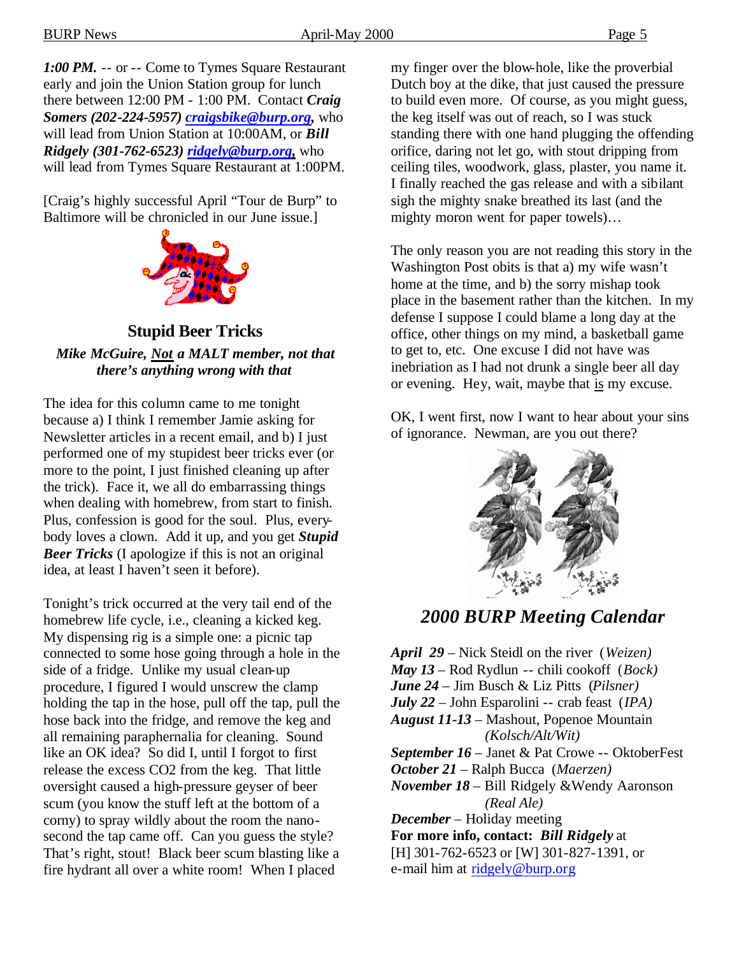*1:00 PM.* -- or -- Come to Tymes Square Restaurant early and join the Union Station group for lunch there between 12:00 PM - 1:00 PM. Contact *Craig Somers (202-224-5957) craigsbike@burp.org,* who will lead from Union Station at 10:00AM, or *Bill* 

*Ridgely (301-762-6523) ridgely@burp.org,* who will lead from Tymes Square Restaurant at 1:00PM.

[Craig's highly successful April "Tour de Burp" to Baltimore will be chronicled in our June issue.]



**Stupid Beer Tricks** *Mike McGuire, Not a MALT member, not that there's anything wrong with that*

The idea for this column came to me tonight because a) I think I remember Jamie asking for Newsletter articles in a recent email, and b) I just performed one of my stupidest beer tricks ever (or more to the point, I just finished cleaning up after the trick). Face it, we all do embarrassing things when dealing with homebrew, from start to finish. Plus, confession is good for the soul. Plus, everybody loves a clown. Add it up, and you get *Stupid Beer Tricks* (I apologize if this is not an original idea, at least I haven't seen it before).

Tonight's trick occurred at the very tail end of the homebrew life cycle, i.e., cleaning a kicked keg. My dispensing rig is a simple one: a picnic tap connected to some hose going through a hole in the side of a fridge. Unlike my usual clean-up procedure, I figured I would unscrew the clamp holding the tap in the hose, pull off the tap, pull the hose back into the fridge, and remove the keg and all remaining paraphernalia for cleaning. Sound like an OK idea? So did I, until I forgot to first release the excess CO2 from the keg. That little oversight caused a high-pressure geyser of beer scum (you know the stuff left at the bottom of a corny) to spray wildly about the room the nanosecond the tap came off. Can you guess the style? That's right, stout! Black beer scum blasting like a fire hydrant all over a white room! When I placed

my finger over the blow-hole, like the proverbial Dutch boy at the dike, that just caused the pressure to build even more. Of course, as you might guess, the keg itself was out of reach, so I was stuck standing there with one hand plugging the offending orifice, daring not let go, with stout dripping from ceiling tiles, woodwork, glass, plaster, you name it. I finally reached the gas release and with a sibilant sigh the mighty snake breathed its last (and the mighty moron went for paper towels)…

The only reason you are not reading this story in the Washington Post obits is that a) my wife wasn't home at the time, and b) the sorry mishap took place in the basement rather than the kitchen. In my defense I suppose I could blame a long day at the office, other things on my mind, a basketball game to get to, etc. One excuse I did not have was inebriation as I had not drunk a single beer all day or evening. Hey, wait, maybe that is my excuse.

OK, I went first, now I want to hear about your sins of ignorance. Newman, are you out there?



# *2000 BURP Meeting Calendar*

*April 29* – Nick Steidl on the river (*Weizen) May 13* – Rod Rydlun -- chili cookoff (*Bock) June 24* – Jim Busch & Liz Pitts (*Pilsner) July 22* – John Esparolini -- crab feast (*IPA) August 11-13* – Mashout, Popenoe Mountain  *(Kolsch/Alt/Wit) September 16* – Janet & Pat Crowe -- OktoberFest *October 21* – Ralph Bucca (*Maerzen) November 18* – Bill Ridgely &Wendy Aaronson  *(Real Ale) December* – Holiday meeting **For more info, contact:** *Bill Ridgely* at [H] 301-762-6523 or [W] 301-827-1391, or

e-mail him at ridgely@burp.org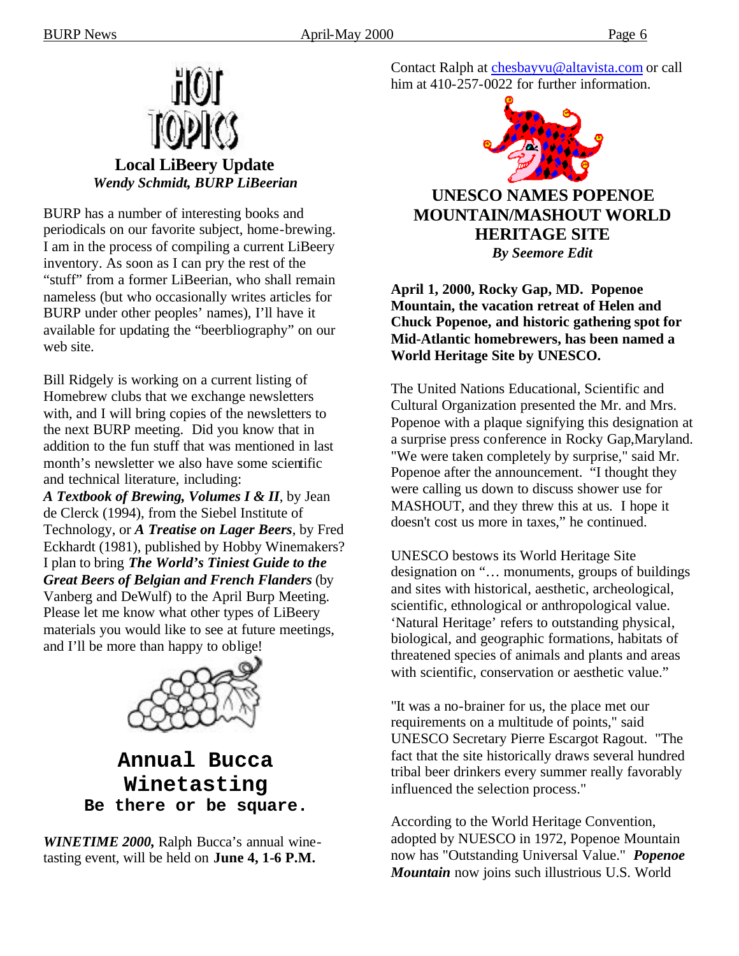

BURP has a number of interesting books and periodicals on our favorite subject, home-brewing. I am in the process of compiling a current LiBeery inventory. As soon as I can pry the rest of the "stuff" from a former LiBeerian, who shall remain nameless (but who occasionally writes articles for BURP under other peoples' names), I'll have it available for updating the "beerbliography" on our web site.

Bill Ridgely is working on a current listing of Homebrew clubs that we exchange newsletters with, and I will bring copies of the newsletters to the next BURP meeting. Did you know that in addition to the fun stuff that was mentioned in last month's newsletter we also have some scientific and technical literature, including:

*A Textbook of Brewing, Volumes I & II*, by Jean de Clerck (1994), from the Siebel Institute of Technology, or *A Treatise on Lager Beers*, by Fred Eckhardt (1981), published by Hobby Winemakers? I plan to bring *The World's Tiniest Guide to the Great Beers of Belgian and French Flanders* (by Vanberg and DeWulf) to the April Burp Meeting. Please let me know what other types of LiBeery materials you would like to see at future meetings, and I'll be more than happy to oblige!



**Annual Bucca Winetasting Be there or be square.**

*WINETIME 2000,* Ralph Bucca's annual winetasting event, will be held on **June 4, 1-6 P.M.**

Contact Ralph at chesbayvu@altavista.com or call him at 410-257-0022 for further information.



# **UNESCO NAMES POPENOE MOUNTAIN/MASHOUT WORLD HERITAGE SITE** *By Seemore Edit*

**April 1, 2000, Rocky Gap, MD. Popenoe Mountain, the vacation retreat of Helen and Chuck Popenoe, and historic gathering spot for Mid-Atlantic homebrewers, has been named a World Heritage Site by UNESCO.**

The United Nations Educational, Scientific and Cultural Organization presented the Mr. and Mrs. Popenoe with a plaque signifying this designation at a surprise press conference in Rocky Gap,Maryland. "We were taken completely by surprise," said Mr. Popenoe after the announcement. "I thought they were calling us down to discuss shower use for MASHOUT, and they threw this at us. I hope it doesn't cost us more in taxes," he continued.

UNESCO bestows its World Heritage Site designation on "… monuments, groups of buildings and sites with historical, aesthetic, archeological, scientific, ethnological or anthropological value. 'Natural Heritage' refers to outstanding physical, biological, and geographic formations, habitats of threatened species of animals and plants and areas with scientific, conservation or aesthetic value."

"It was a no-brainer for us, the place met our requirements on a multitude of points," said UNESCO Secretary Pierre Escargot Ragout. "The fact that the site historically draws several hundred tribal beer drinkers every summer really favorably influenced the selection process."

According to the World Heritage Convention, adopted by NUESCO in 1972, Popenoe Mountain now has "Outstanding Universal Value." *Popenoe Mountain* now joins such illustrious U.S. World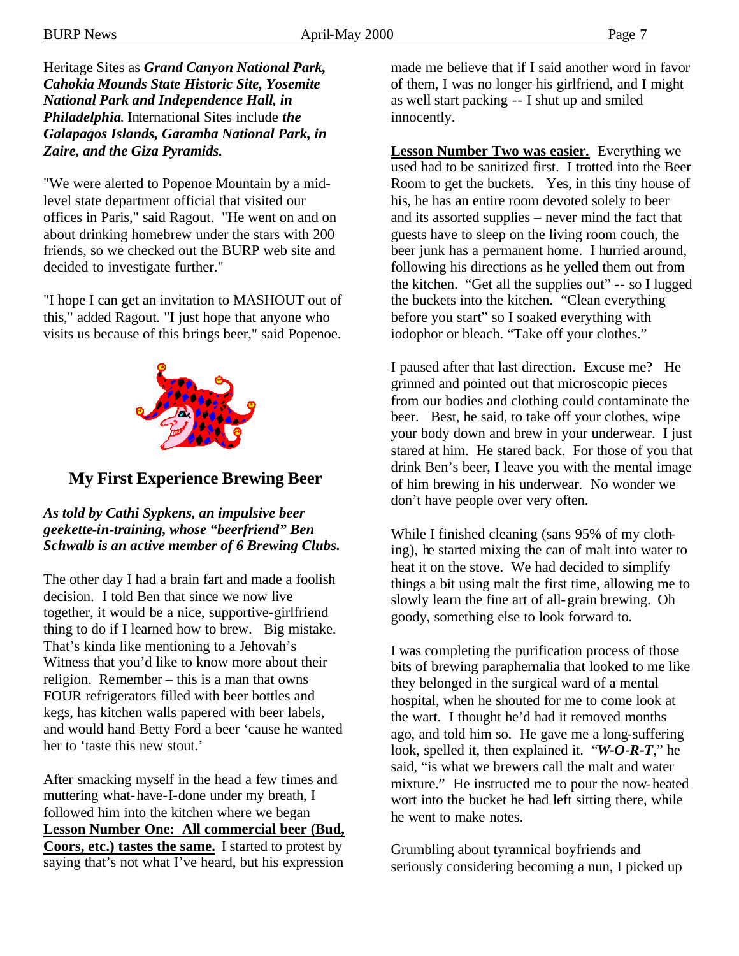Heritage Sites as *Grand Canyon National Park, Cahokia Mounds State Historic Site, Yosemite National Park and Independence Hall, in Philadelphia*. International Sites include *the Galapagos Islands, Garamba National Park, in Zaire, and the Giza Pyramids.*

"We were alerted to Popenoe Mountain by a midlevel state department official that visited our offices in Paris," said Ragout. "He went on and on about drinking homebrew under the stars with 200 friends, so we checked out the BURP web site and decided to investigate further."

"I hope I can get an invitation to MASHOUT out of this," added Ragout. "I just hope that anyone who visits us because of this brings beer," said Popenoe.



# **My First Experience Brewing Beer**

*As told by Cathi Sypkens, an impulsive beer geekette-in-training, whose "beerfriend" Ben Schwalb is an active member of 6 Brewing Clubs.*

The other day I had a brain fart and made a foolish decision. I told Ben that since we now live together, it would be a nice, supportive-girlfriend thing to do if I learned how to brew. Big mistake. That's kinda like mentioning to a Jehovah's Witness that you'd like to know more about their religion. Remember – this is a man that owns FOUR refrigerators filled with beer bottles and kegs, has kitchen walls papered with beer labels, and would hand Betty Ford a beer 'cause he wanted her to 'taste this new stout.'

After smacking myself in the head a few times and muttering what-have-I-done under my breath, I followed him into the kitchen where we began **Lesson Number One: All commercial beer (Bud, Coors, etc.) tastes the same.** I started to protest by saying that's not what I've heard, but his expression

made me believe that if I said another word in favor of them, I was no longer his girlfriend, and I might as well start packing -- I shut up and smiled innocently.

**Lesson Number Two was easier.** Everything we used had to be sanitized first. I trotted into the Beer Room to get the buckets. Yes, in this tiny house of his, he has an entire room devoted solely to beer and its assorted supplies – never mind the fact that guests have to sleep on the living room couch, the beer junk has a permanent home. I hurried around, following his directions as he yelled them out from the kitchen. "Get all the supplies out" -- so I lugged the buckets into the kitchen. "Clean everything before you start" so I soaked everything with iodophor or bleach. "Take off your clothes."

I paused after that last direction. Excuse me? He grinned and pointed out that microscopic pieces from our bodies and clothing could contaminate the beer. Best, he said, to take off your clothes, wipe your body down and brew in your underwear. I just stared at him. He stared back. For those of you that drink Ben's beer, I leave you with the mental image of him brewing in his underwear. No wonder we don't have people over very often.

While I finished cleaning (sans 95% of my clothing), he started mixing the can of malt into water to heat it on the stove. We had decided to simplify things a bit using malt the first time, allowing me to slowly learn the fine art of all-grain brewing. Oh goody, something else to look forward to.

I was completing the purification process of those bits of brewing paraphernalia that looked to me like they belonged in the surgical ward of a mental hospital, when he shouted for me to come look at the wart. I thought he'd had it removed months ago, and told him so. He gave me a long-suffering look, spelled it, then explained it. "*W-O-R-T*," he said, "is what we brewers call the malt and water mixture." He instructed me to pour the now-heated wort into the bucket he had left sitting there, while he went to make notes.

Grumbling about tyrannical boyfriends and seriously considering becoming a nun, I picked up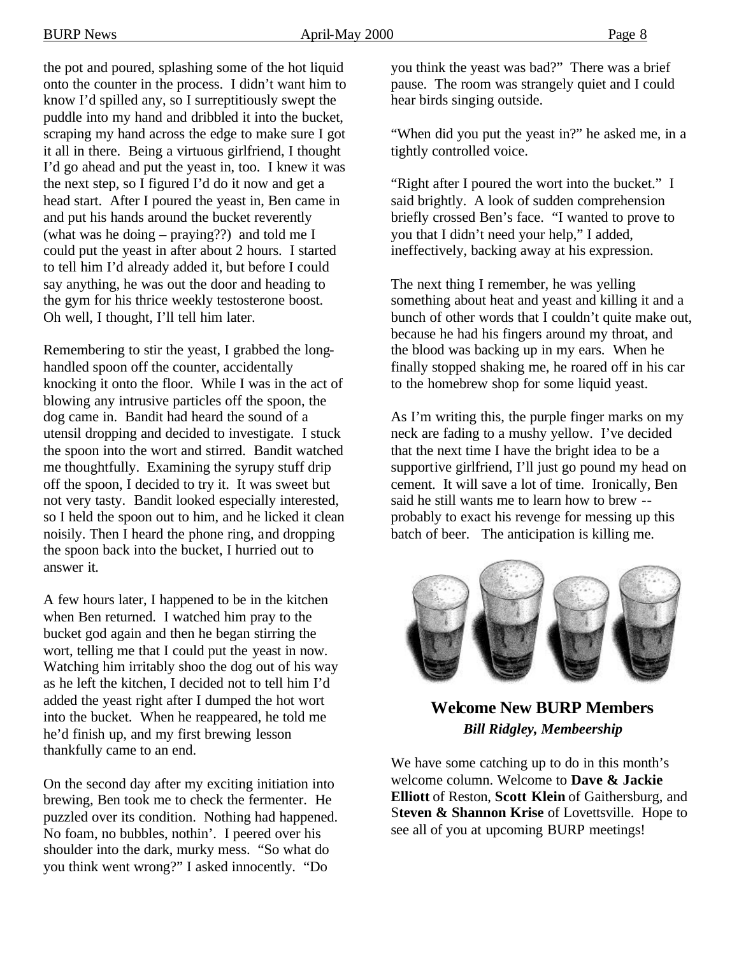the pot and poured, splashing some of the hot liquid onto the counter in the process. I didn't want him to know I'd spilled any, so I surreptitiously swept the puddle into my hand and dribbled it into the bucket, scraping my hand across the edge to make sure I got it all in there. Being a virtuous girlfriend, I thought I'd go ahead and put the yeast in, too. I knew it was the next step, so I figured I'd do it now and get a head start. After I poured the yeast in, Ben came in and put his hands around the bucket reverently (what was he doing – praying??) and told me I could put the yeast in after about 2 hours. I started to tell him I'd already added it, but before I could say anything, he was out the door and heading to the gym for his thrice weekly testosterone boost. Oh well, I thought, I'll tell him later.

Remembering to stir the yeast, I grabbed the longhandled spoon off the counter, accidentally knocking it onto the floor. While I was in the act of blowing any intrusive particles off the spoon, the dog came in. Bandit had heard the sound of a utensil dropping and decided to investigate. I stuck the spoon into the wort and stirred. Bandit watched me thoughtfully. Examining the syrupy stuff drip off the spoon, I decided to try it. It was sweet but not very tasty. Bandit looked especially interested, so I held the spoon out to him, and he licked it clean noisily. Then I heard the phone ring, and dropping the spoon back into the bucket, I hurried out to answer it.

A few hours later, I happened to be in the kitchen when Ben returned. I watched him pray to the bucket god again and then he began stirring the wort, telling me that I could put the yeast in now. Watching him irritably shoo the dog out of his way as he left the kitchen, I decided not to tell him I'd added the yeast right after I dumped the hot wort into the bucket. When he reappeared, he told me he'd finish up, and my first brewing lesson thankfully came to an end.

On the second day after my exciting initiation into brewing, Ben took me to check the fermenter. He puzzled over its condition. Nothing had happened. No foam, no bubbles, nothin'. I peered over his shoulder into the dark, murky mess. "So what do you think went wrong?" I asked innocently. "Do

you think the yeast was bad?" There was a brief pause. The room was strangely quiet and I could hear birds singing outside.

"When did you put the yeast in?" he asked me, in a tightly controlled voice.

"Right after I poured the wort into the bucket." I said brightly. A look of sudden comprehension briefly crossed Ben's face. "I wanted to prove to you that I didn't need your help," I added, ineffectively, backing away at his expression.

The next thing I remember, he was yelling something about heat and yeast and killing it and a bunch of other words that I couldn't quite make out, because he had his fingers around my throat, and the blood was backing up in my ears. When he finally stopped shaking me, he roared off in his car to the homebrew shop for some liquid yeast.

As I'm writing this, the purple finger marks on my neck are fading to a mushy yellow. I've decided that the next time I have the bright idea to be a supportive girlfriend, I'll just go pound my head on cement. It will save a lot of time. Ironically, Ben said he still wants me to learn how to brew - probably to exact his revenge for messing up this batch of beer. The anticipation is killing me.



**Welcome New BURP Members** *Bill Ridgley, Membeership*

We have some catching up to do in this month's welcome column. Welcome to **Dave & Jackie Elliott** of Reston, **Scott Klein** of Gaithersburg, and S**teven & Shannon Krise** of Lovettsville. Hope to see all of you at upcoming BURP meetings!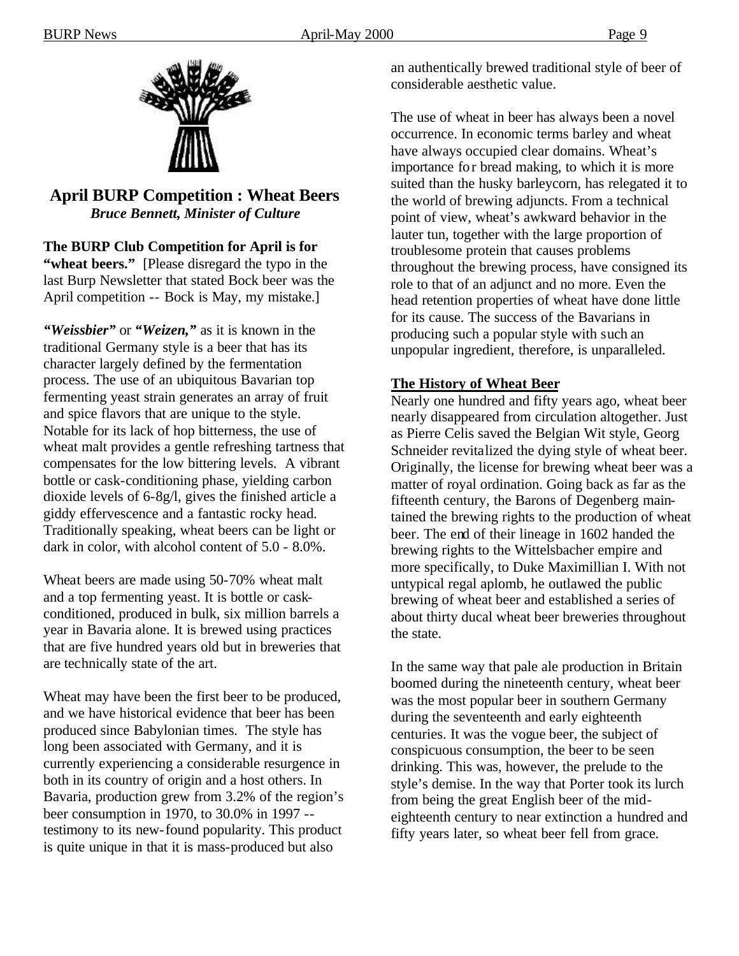

**April BURP Competition : Wheat Beers** *Bruce Bennett, Minister of Culture*

**The BURP Club Competition for April is for "wheat beers."** [Please disregard the typo in the last Burp Newsletter that stated Bock beer was the April competition -- Bock is May, my mistake.]

*"Weissbier"* or *"Weizen,"* as it is known in the traditional Germany style is a beer that has its character largely defined by the fermentation process. The use of an ubiquitous Bavarian top fermenting yeast strain generates an array of fruit and spice flavors that are unique to the style. Notable for its lack of hop bitterness, the use of wheat malt provides a gentle refreshing tartness that compensates for the low bittering levels. A vibrant bottle or cask-conditioning phase, yielding carbon dioxide levels of 6-8g/l, gives the finished article a giddy effervescence and a fantastic rocky head. Traditionally speaking, wheat beers can be light or dark in color, with alcohol content of 5.0 - 8.0%.

Wheat beers are made using 50-70% wheat malt and a top fermenting yeast. It is bottle or caskconditioned, produced in bulk, six million barrels a year in Bavaria alone. It is brewed using practices that are five hundred years old but in breweries that are technically state of the art.

Wheat may have been the first beer to be produced, and we have historical evidence that beer has been produced since Babylonian times. The style has long been associated with Germany, and it is currently experiencing a considerable resurgence in both in its country of origin and a host others. In Bavaria, production grew from 3.2% of the region's beer consumption in 1970, to 30.0% in 1997 - testimony to its new-found popularity. This product is quite unique in that it is mass-produced but also

an authentically brewed traditional style of beer of considerable aesthetic value.

The use of wheat in beer has always been a novel occurrence. In economic terms barley and wheat have always occupied clear domains. Wheat's importance for bread making, to which it is more suited than the husky barleycorn, has relegated it to the world of brewing adjuncts. From a technical point of view, wheat's awkward behavior in the lauter tun, together with the large proportion of troublesome protein that causes problems throughout the brewing process, have consigned its role to that of an adjunct and no more. Even the head retention properties of wheat have done little for its cause. The success of the Bavarians in producing such a popular style with such an unpopular ingredient, therefore, is unparalleled.

# **The History of Wheat Beer**

Nearly one hundred and fifty years ago, wheat beer nearly disappeared from circulation altogether. Just as Pierre Celis saved the Belgian Wit style, Georg Schneider revitalized the dying style of wheat beer. Originally, the license for brewing wheat beer was a matter of royal ordination. Going back as far as the fifteenth century, the Barons of Degenberg maintained the brewing rights to the production of wheat beer. The end of their lineage in 1602 handed the brewing rights to the Wittelsbacher empire and more specifically, to Duke Maximillian I. With not untypical regal aplomb, he outlawed the public brewing of wheat beer and established a series of about thirty ducal wheat beer breweries throughout the state.

In the same way that pale ale production in Britain boomed during the nineteenth century, wheat beer was the most popular beer in southern Germany during the seventeenth and early eighteenth centuries. It was the vogue beer, the subject of conspicuous consumption, the beer to be seen drinking. This was, however, the prelude to the style's demise. In the way that Porter took its lurch from being the great English beer of the mideighteenth century to near extinction a hundred and fifty years later, so wheat beer fell from grace.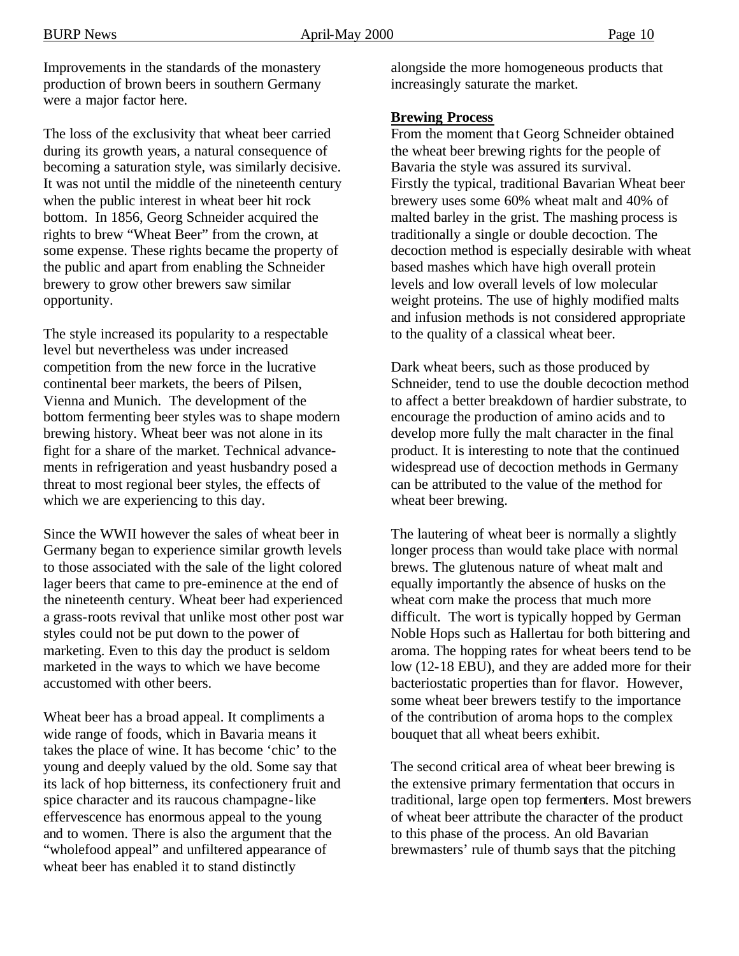Improvements in the standards of the monastery production of brown beers in southern Germany were a major factor here.

The loss of the exclusivity that wheat beer carried during its growth years, a natural consequence of becoming a saturation style, was similarly decisive. It was not until the middle of the nineteenth century when the public interest in wheat beer hit rock bottom. In 1856, Georg Schneider acquired the rights to brew "Wheat Beer" from the crown, at some expense. These rights became the property of the public and apart from enabling the Schneider brewery to grow other brewers saw similar opportunity.

The style increased its popularity to a respectable level but nevertheless was under increased competition from the new force in the lucrative continental beer markets, the beers of Pilsen, Vienna and Munich. The development of the bottom fermenting beer styles was to shape modern brewing history. Wheat beer was not alone in its fight for a share of the market. Technical advancements in refrigeration and yeast husbandry posed a threat to most regional beer styles, the effects of which we are experiencing to this day.

Since the WWII however the sales of wheat beer in Germany began to experience similar growth levels to those associated with the sale of the light colored lager beers that came to pre-eminence at the end of the nineteenth century. Wheat beer had experienced a grass-roots revival that unlike most other post war styles could not be put down to the power of marketing. Even to this day the product is seldom marketed in the ways to which we have become accustomed with other beers.

Wheat beer has a broad appeal. It compliments a wide range of foods, which in Bavaria means it takes the place of wine. It has become 'chic' to the young and deeply valued by the old. Some say that its lack of hop bitterness, its confectionery fruit and spice character and its raucous champagne-like effervescence has enormous appeal to the young and to women. There is also the argument that the "wholefood appeal" and unfiltered appearance of wheat beer has enabled it to stand distinctly

alongside the more homogeneous products that increasingly saturate the market.

#### **Brewing Process**

From the moment that Georg Schneider obtained the wheat beer brewing rights for the people of Bavaria the style was assured its survival. Firstly the typical, traditional Bavarian Wheat beer brewery uses some 60% wheat malt and 40% of malted barley in the grist. The mashing process is traditionally a single or double decoction. The decoction method is especially desirable with wheat based mashes which have high overall protein levels and low overall levels of low molecular weight proteins. The use of highly modified malts and infusion methods is not considered appropriate to the quality of a classical wheat beer.

Dark wheat beers, such as those produced by Schneider, tend to use the double decoction method to affect a better breakdown of hardier substrate, to encourage the production of amino acids and to develop more fully the malt character in the final product. It is interesting to note that the continued widespread use of decoction methods in Germany can be attributed to the value of the method for wheat beer brewing.

The lautering of wheat beer is normally a slightly longer process than would take place with normal brews. The glutenous nature of wheat malt and equally importantly the absence of husks on the wheat corn make the process that much more difficult. The wort is typically hopped by German Noble Hops such as Hallertau for both bittering and aroma. The hopping rates for wheat beers tend to be low (12-18 EBU), and they are added more for their bacteriostatic properties than for flavor. However, some wheat beer brewers testify to the importance of the contribution of aroma hops to the complex bouquet that all wheat beers exhibit.

The second critical area of wheat beer brewing is the extensive primary fermentation that occurs in traditional, large open top fermenters. Most brewers of wheat beer attribute the character of the product to this phase of the process. An old Bavarian brewmasters' rule of thumb says that the pitching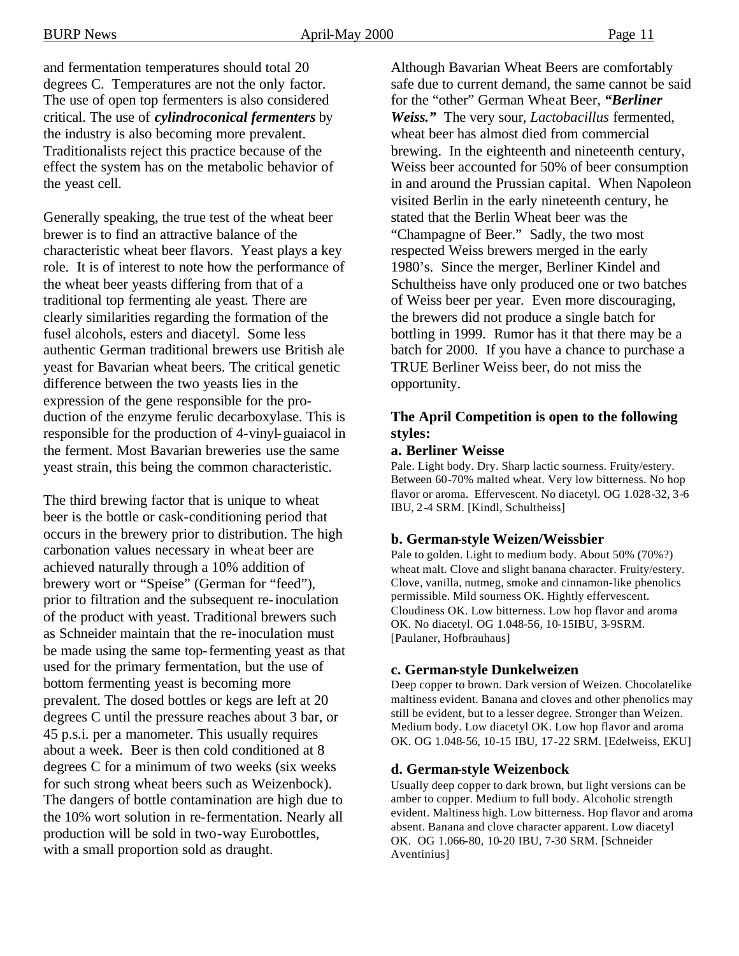and fermentation temperatures should total 20 degrees C. Temperatures are not the only factor. The use of open top fermenters is also considered critical. The use of *cylindroconical fermenters* by the industry is also becoming more prevalent. Traditionalists reject this practice because of the effect the system has on the metabolic behavior of the yeast cell.

Generally speaking, the true test of the wheat beer brewer is to find an attractive balance of the characteristic wheat beer flavors. Yeast plays a key role. It is of interest to note how the performance of the wheat beer yeasts differing from that of a traditional top fermenting ale yeast. There are clearly similarities regarding the formation of the fusel alcohols, esters and diacetyl. Some less authentic German traditional brewers use British ale yeast for Bavarian wheat beers. The critical genetic difference between the two yeasts lies in the expression of the gene responsible for the production of the enzyme ferulic decarboxylase. This is responsible for the production of 4-vinyl-guaiacol in the ferment. Most Bavarian breweries use the same yeast strain, this being the common characteristic.

The third brewing factor that is unique to wheat beer is the bottle or cask-conditioning period that occurs in the brewery prior to distribution. The high carbonation values necessary in wheat beer are achieved naturally through a 10% addition of brewery wort or "Speise" (German for "feed"), prior to filtration and the subsequent re-inoculation of the product with yeast. Traditional brewers such as Schneider maintain that the re-inoculation must be made using the same top-fermenting yeast as that used for the primary fermentation, but the use of bottom fermenting yeast is becoming more prevalent. The dosed bottles or kegs are left at 20 degrees C until the pressure reaches about 3 bar, or 45 p.s.i. per a manometer. This usually requires about a week. Beer is then cold conditioned at 8 degrees C for a minimum of two weeks (six weeks for such strong wheat beers such as Weizenbock). The dangers of bottle contamination are high due to the 10% wort solution in re-fermentation. Nearly all production will be sold in two-way Eurobottles, with a small proportion sold as draught.

Although Bavarian Wheat Beers are comfortably safe due to current demand, the same cannot be said for the "other" German Wheat Beer, *"Berliner Weiss."* The very sour, *Lactobacillus* fermented, wheat beer has almost died from commercial brewing. In the eighteenth and nineteenth century, Weiss beer accounted for 50% of beer consumption in and around the Prussian capital. When Napoleon visited Berlin in the early nineteenth century, he stated that the Berlin Wheat beer was the "Champagne of Beer." Sadly, the two most respected Weiss brewers merged in the early 1980's. Since the merger, Berliner Kindel and Schultheiss have only produced one or two batches of Weiss beer per year. Even more discouraging, the brewers did not produce a single batch for bottling in 1999. Rumor has it that there may be a batch for 2000. If you have a chance to purchase a TRUE Berliner Weiss beer, do not miss the opportunity.

#### **The April Competition is open to the following styles:**

#### **a. Berliner Weisse**

Pale. Light body. Dry. Sharp lactic sourness. Fruity/estery. Between 60-70% malted wheat. Very low bitterness. No hop flavor or aroma. Effervescent. No diacetyl. OG 1.028-32, 3-6 IBU, 2-4 SRM. [Kindl, Schultheiss]

#### **b. German-style Weizen/Weissbier**

Pale to golden. Light to medium body. About 50% (70%?) wheat malt. Clove and slight banana character. Fruity/estery. Clove, vanilla, nutmeg, smoke and cinnamon-like phenolics permissible. Mild sourness OK. Hightly effervescent. Cloudiness OK. Low bitterness. Low hop flavor and aroma OK. No diacetyl. OG 1.048-56, 10-15IBU, 3-9SRM. [Paulaner, Hofbrauhaus]

#### **c. German-style Dunkelweizen**

Deep copper to brown. Dark version of Weizen. Chocolatelike maltiness evident. Banana and cloves and other phenolics may still be evident, but to a lesser degree. Stronger than Weizen. Medium body. Low diacetyl OK. Low hop flavor and aroma OK. OG 1.048-56, 10-15 IBU, 17-22 SRM. [Edelweiss, EKU]

#### **d. German-style Weizenbock**

Usually deep copper to dark brown, but light versions can be amber to copper. Medium to full body. Alcoholic strength evident. Maltiness high. Low bitterness. Hop flavor and aroma absent. Banana and clove character apparent. Low diacetyl OK. OG 1.066-80, 10-20 IBU, 7-30 SRM. [Schneider Aventinius]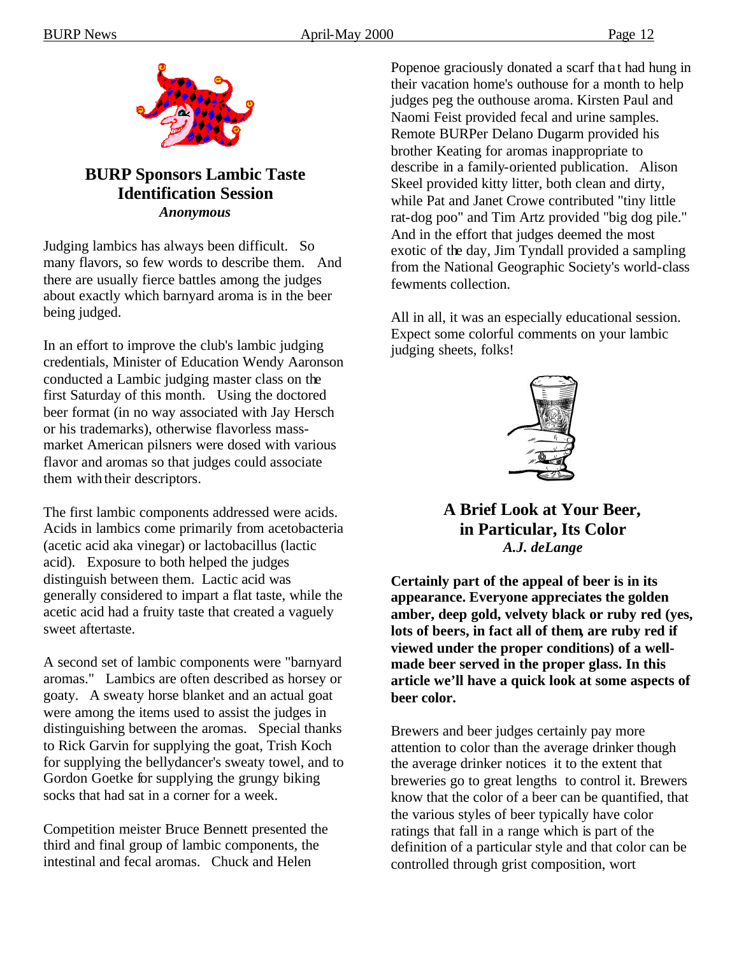

# **BURP Sponsors Lambic Taste Identification Session** *Anonymous*

Judging lambics has always been difficult. So many flavors, so few words to describe them. And there are usually fierce battles among the judges about exactly which barnyard aroma is in the beer being judged.

In an effort to improve the club's lambic judging credentials, Minister of Education Wendy Aaronson conducted a Lambic judging master class on the first Saturday of this month. Using the doctored beer format (in no way associated with Jay Hersch or his trademarks), otherwise flavorless massmarket American pilsners were dosed with various flavor and aromas so that judges could associate them with their descriptors.

The first lambic components addressed were acids. Acids in lambics come primarily from acetobacteria (acetic acid aka vinegar) or lactobacillus (lactic acid). Exposure to both helped the judges distinguish between them. Lactic acid was generally considered to impart a flat taste, while the acetic acid had a fruity taste that created a vaguely sweet aftertaste.

A second set of lambic components were "barnyard aromas." Lambics are often described as horsey or goaty. A sweaty horse blanket and an actual goat were among the items used to assist the judges in distinguishing between the aromas. Special thanks to Rick Garvin for supplying the goat, Trish Koch for supplying the bellydancer's sweaty towel, and to Gordon Goetke for supplying the grungy biking socks that had sat in a corner for a week.

Competition meister Bruce Bennett presented the third and final group of lambic components, the intestinal and fecal aromas. Chuck and Helen

Popenoe graciously donated a scarf that had hung in their vacation home's outhouse for a month to help judges peg the outhouse aroma. Kirsten Paul and Naomi Feist provided fecal and urine samples. Remote BURPer Delano Dugarm provided his brother Keating for aromas inappropriate to describe in a family-oriented publication. Alison Skeel provided kitty litter, both clean and dirty, while Pat and Janet Crowe contributed "tiny little rat-dog poo" and Tim Artz provided "big dog pile." And in the effort that judges deemed the most exotic of the day, Jim Tyndall provided a sampling from the National Geographic Society's world-class fewments collection.

All in all, it was an especially educational session. Expect some colorful comments on your lambic judging sheets, folks!



**A Brief Look at Your Beer, in Particular, Its Color** *A.J. deLange*

**Certainly part of the appeal of beer is in its appearance. Everyone appreciates the golden amber, deep gold, velvety black or ruby red (yes, lots of beers, in fact all of them, are ruby red if viewed under the proper conditions) of a wellmade beer served in the proper glass. In this article we'll have a quick look at some aspects of beer color.** 

Brewers and beer judges certainly pay more attention to color than the average drinker though the average drinker notices it to the extent that breweries go to great lengths to control it. Brewers know that the color of a beer can be quantified, that the various styles of beer typically have color ratings that fall in a range which is part of the definition of a particular style and that color can be controlled through grist composition, wort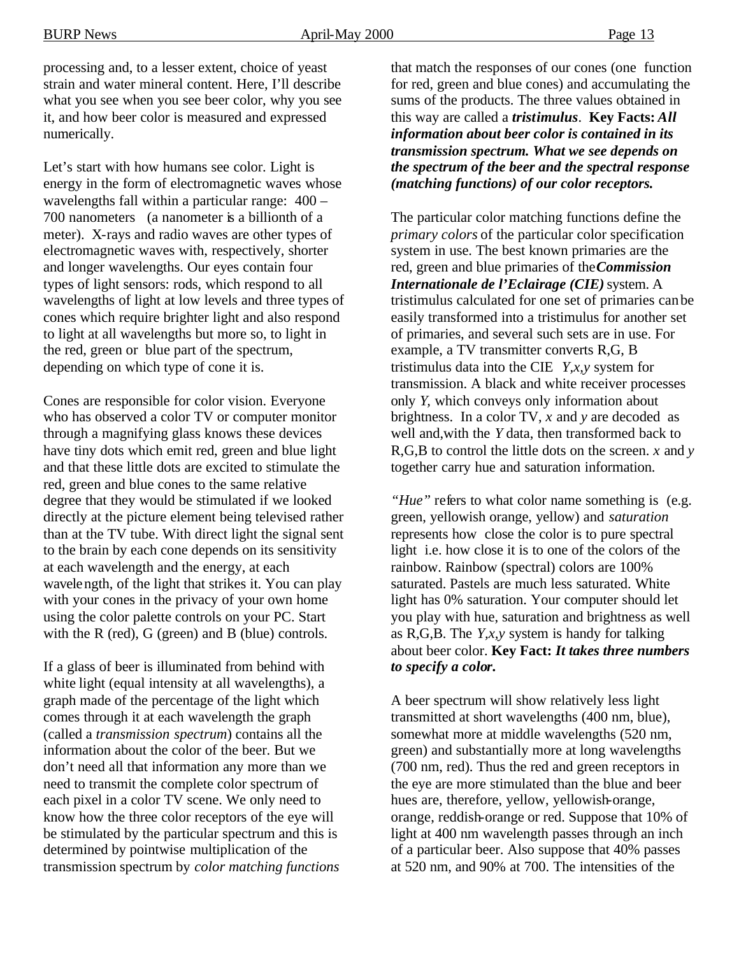processing and, to a lesser extent, choice of yeast strain and water mineral content. Here, I'll describe what you see when you see beer color, why you see it, and how beer color is measured and expressed numerically.

Let's start with how humans see color. Light is energy in the form of electromagnetic waves whose wavelengths fall within a particular range: 400 – 700 nanometers (a nanometer is a billionth of a meter). X-rays and radio waves are other types of electromagnetic waves with, respectively, shorter and longer wavelengths. Our eyes contain four types of light sensors: rods, which respond to all wavelengths of light at low levels and three types of cones which require brighter light and also respond to light at all wavelengths but more so, to light in the red, green or blue part of the spectrum, depending on which type of cone it is.

Cones are responsible for color vision. Everyone who has observed a color TV or computer monitor through a magnifying glass knows these devices have tiny dots which emit red, green and blue light and that these little dots are excited to stimulate the red, green and blue cones to the same relative degree that they would be stimulated if we looked directly at the picture element being televised rather than at the TV tube. With direct light the signal sent to the brain by each cone depends on its sensitivity at each wavelength and the energy, at each wavelength, of the light that strikes it. You can play with your cones in the privacy of your own home using the color palette controls on your PC. Start with the R (red), G (green) and B (blue) controls.

If a glass of beer is illuminated from behind with white light (equal intensity at all wavelengths), a graph made of the percentage of the light which comes through it at each wavelength the graph (called a *transmission spectrum*) contains all the information about the color of the beer. But we don't need all that information any more than we need to transmit the complete color spectrum of each pixel in a color TV scene. We only need to know how the three color receptors of the eye will be stimulated by the particular spectrum and this is determined by pointwise multiplication of the transmission spectrum by *color matching functions* 

that match the responses of our cones (one function for red, green and blue cones) and accumulating the sums of the products. The three values obtained in this way are called a *tristimulus*. **Key Facts:** *All information about beer color is contained in its transmission spectrum. What we see depends on the spectrum of the beer and the spectral response (matching functions) of our color receptors.*

The particular color matching functions define the *primary colors* of the particular color specification system in use. The best known primaries are the red, green and blue primaries of the*Commission Internationale de l'Eclairage (CIE)* system. A tristimulus calculated for one set of primaries can be easily transformed into a tristimulus for another set of primaries, and several such sets are in use. For example, a TV transmitter converts R,G, B tristimulus data into the CIE *Y,x,y* system for transmission. A black and white receiver processes only *Y,* which conveys only information about brightness. In a color TV, *x* and *y* are decoded as well and,with the *Y* data, then transformed back to R,G,B to control the little dots on the screen. *x* and *y* together carry hue and saturation information.

*"Hue"* refers to what color name something is (e.g. green, yellowish orange, yellow) and *saturation* represents how close the color is to pure spectral light i.e. how close it is to one of the colors of the rainbow. Rainbow (spectral) colors are 100% saturated. Pastels are much less saturated. White light has 0% saturation. Your computer should let you play with hue, saturation and brightness as well as R,G,B. The *Y,x,y* system is handy for talking about beer color. **Key Fact:** *It takes three numbers to specify a color***.**

A beer spectrum will show relatively less light transmitted at short wavelengths (400 nm, blue), somewhat more at middle wavelengths (520 nm, green) and substantially more at long wavelengths (700 nm, red). Thus the red and green receptors in the eye are more stimulated than the blue and beer hues are, therefore, yellow, yellowish-orange, orange, reddish-orange or red. Suppose that 10% of light at 400 nm wavelength passes through an inch of a particular beer. Also suppose that 40% passes at 520 nm, and 90% at 700. The intensities of the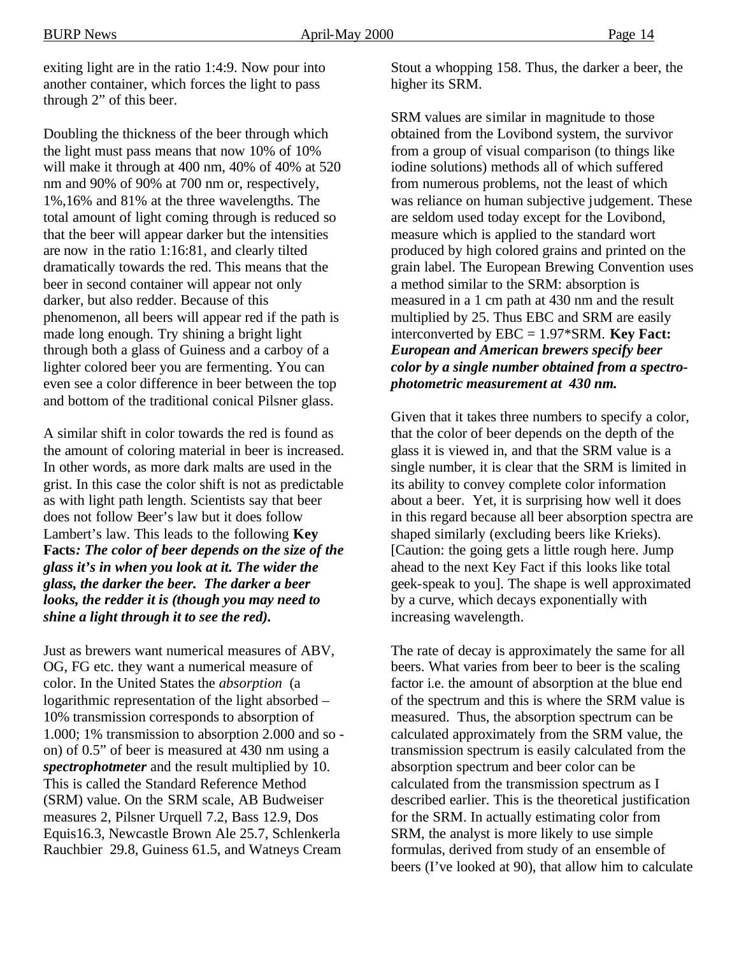exiting light are in the ratio 1:4:9. Now pour into another container, which forces the light to pass through 2" of this beer.

Doubling the thickness of the beer through which the light must pass means that now 10% of 10% will make it through at 400 nm, 40% of 40% at 520 nm and 90% of 90% at 700 nm or, respectively, 1%,16% and 81% at the three wavelengths. The total amount of light coming through is reduced so that the beer will appear darker but the intensities are now in the ratio 1:16:81, and clearly tilted dramatically towards the red. This means that the beer in second container will appear not only darker, but also redder. Because of this phenomenon, all beers will appear red if the path is made long enough. Try shining a bright light through both a glass of Guiness and a carboy of a lighter colored beer you are fermenting. You can even see a color difference in beer between the top and bottom of the traditional conical Pilsner glass.

A similar shift in color towards the red is found as the amount of coloring material in beer is increased. In other words, as more dark malts are used in the grist. In this case the color shift is not as predictable as with light path length. Scientists say that beer does not follow Beer's law but it does follow Lambert's law. This leads to the following **Key Facts***: The color of beer depends on the size of the glass it's in when you look at it. The wider the glass, the darker the beer. The darker a beer looks, the redder it is (though you may need to shine a light through it to see the red).*

Just as brewers want numerical measures of ABV, OG, FG etc. they want a numerical measure of color. In the United States the *absorption* (a logarithmic representation of the light absorbed – 10% transmission corresponds to absorption of 1.000; 1% transmission to absorption 2.000 and so on) of 0.5" of beer is measured at 430 nm using a *spectrophotmeter* and the result multiplied by 10. This is called the Standard Reference Method (SRM) value. On the SRM scale, AB Budweiser measures 2, Pilsner Urquell 7.2, Bass 12.9, Dos Equis16.3, Newcastle Brown Ale 25.7, Schlenkerla Rauchbier 29.8, Guiness 61.5, and Watneys Cream

Stout a whopping 158. Thus, the darker a beer, the higher its SRM.

SRM values are similar in magnitude to those obtained from the Lovibond system, the survivor from a group of visual comparison (to things like iodine solutions) methods all of which suffered from numerous problems, not the least of which was reliance on human subjective judgement. These are seldom used today except for the Lovibond, measure which is applied to the standard wort produced by high colored grains and printed on the grain label. The European Brewing Convention uses a method similar to the SRM: absorption is measured in a 1 cm path at 430 nm and the result multiplied by 25. Thus EBC and SRM are easily interconverted by EBC = 1.97\*SRM. **Key Fact:** *European and American brewers specify beer color by a single number obtained from a spectrophotometric measurement at 430 nm.*

Given that it takes three numbers to specify a color, that the color of beer depends on the depth of the glass it is viewed in, and that the SRM value is a single number, it is clear that the SRM is limited in its ability to convey complete color information about a beer. Yet, it is surprising how well it does in this regard because all beer absorption spectra are shaped similarly (excluding beers like Krieks). [Caution: the going gets a little rough here. Jump ahead to the next Key Fact if this looks like total geek-speak to you]. The shape is well approximated by a curve, which decays exponentially with increasing wavelength.

The rate of decay is approximately the same for all beers. What varies from beer to beer is the scaling factor i.e. the amount of absorption at the blue end of the spectrum and this is where the SRM value is measured. Thus, the absorption spectrum can be calculated approximately from the SRM value, the transmission spectrum is easily calculated from the absorption spectrum and beer color can be calculated from the transmission spectrum as I described earlier. This is the theoretical justification for the SRM. In actually estimating color from SRM, the analyst is more likely to use simple formulas, derived from study of an ensemble of beers (I've looked at 90), that allow him to calculate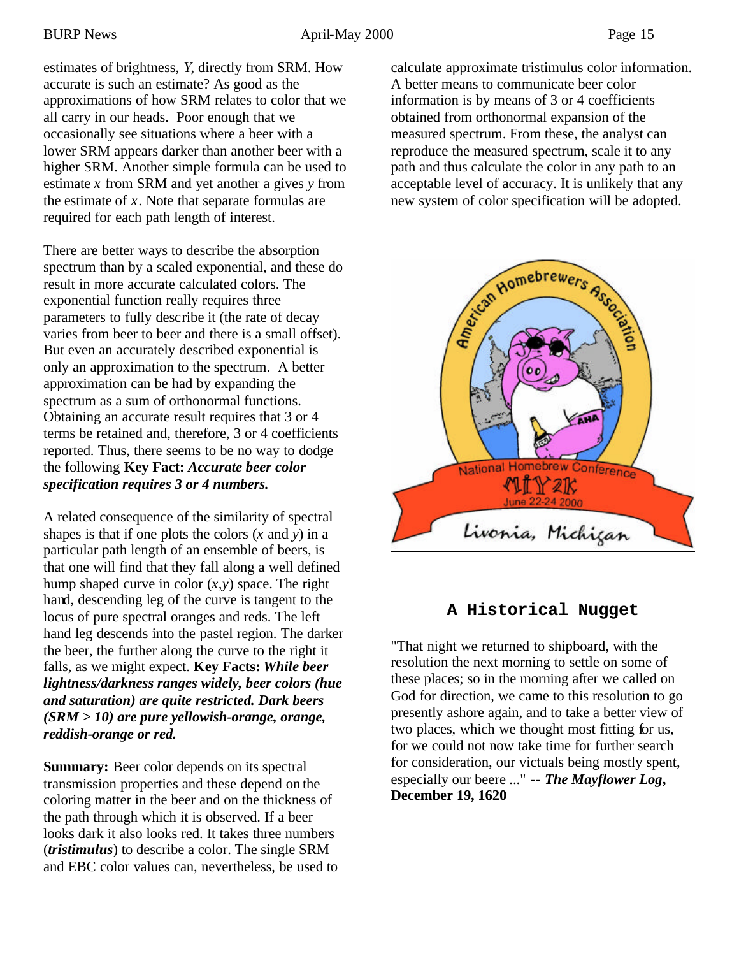estimates of brightness, *Y*, directly from SRM. How accurate is such an estimate? As good as the approximations of how SRM relates to color that we all carry in our heads. Poor enough that we occasionally see situations where a beer with a lower SRM appears darker than another beer with a higher SRM. Another simple formula can be used to estimate *x* from SRM and yet another a gives *y* from the estimate of *x*. Note that separate formulas are required for each path length of interest.

There are better ways to describe the absorption spectrum than by a scaled exponential, and these do result in more accurate calculated colors. The exponential function really requires three parameters to fully describe it (the rate of decay varies from beer to beer and there is a small offset). But even an accurately described exponential is only an approximation to the spectrum. A better approximation can be had by expanding the spectrum as a sum of orthonormal functions. Obtaining an accurate result requires that 3 or 4 terms be retained and, therefore, 3 or 4 coefficients reported. Thus, there seems to be no way to dodge the following **Key Fact:** *Accurate beer color specification requires 3 or 4 numbers.*

A related consequence of the similarity of spectral shapes is that if one plots the colors (*x* and *y*) in a particular path length of an ensemble of beers, is that one will find that they fall along a well defined hump shaped curve in color (*x,y*) space. The right hand, descending leg of the curve is tangent to the locus of pure spectral oranges and reds. The left hand leg descends into the pastel region. The darker the beer, the further along the curve to the right it falls, as we might expect. **Key Facts:** *While beer lightness/darkness ranges widely, beer colors (hue and saturation) are quite restricted. Dark beers (SRM > 10) are pure yellowish-orange, orange, reddish-orange or red.*

**Summary:** Beer color depends on its spectral transmission properties and these depend on the coloring matter in the beer and on the thickness of the path through which it is observed. If a beer looks dark it also looks red. It takes three numbers (*tristimulus*) to describe a color. The single SRM and EBC color values can, nevertheless, be used to calculate approximate tristimulus color information. A better means to communicate beer color information is by means of 3 or 4 coefficients obtained from orthonormal expansion of the measured spectrum. From these, the analyst can reproduce the measured spectrum, scale it to any path and thus calculate the color in any path to an acceptable level of accuracy. It is unlikely that any new system of color specification will be adopted.



# **A Historical Nugget**

"That night we returned to shipboard, with the resolution the next morning to settle on some of these places; so in the morning after we called on God for direction, we came to this resolution to go presently ashore again, and to take a better view of two places, which we thought most fitting for us, for we could not now take time for further search for consideration, our victuals being mostly spent, especially our beere ..." -- *The Mayflower Log***, December 19, 1620**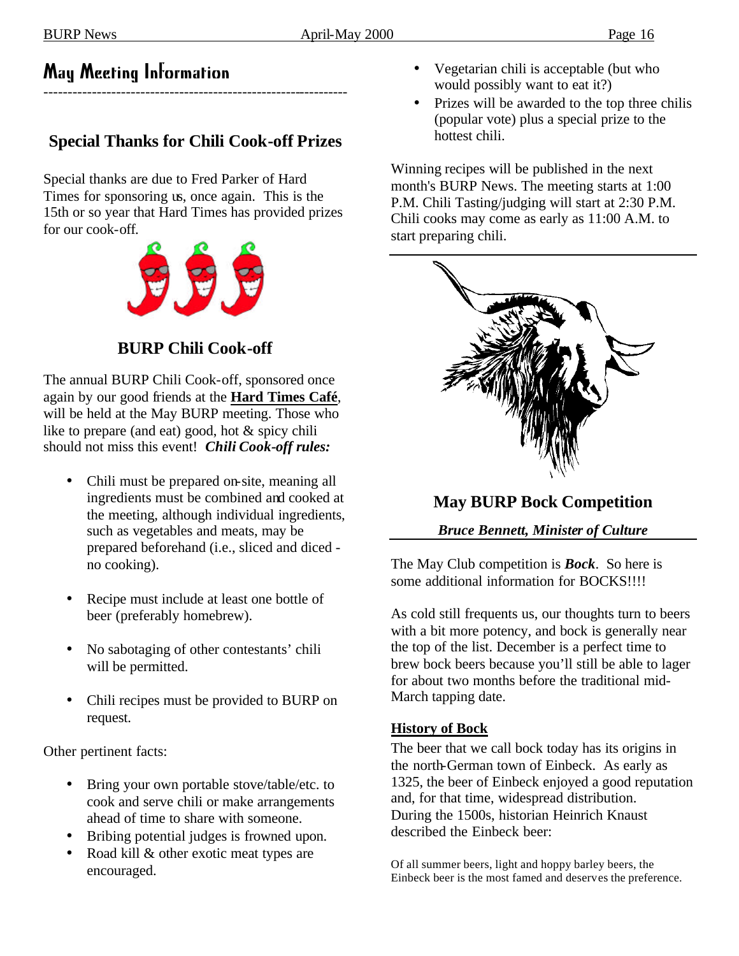# May Meeting Information

# **Special Thanks for Chili Cook-off Prizes**

---------------------------------------------------------------

Special thanks are due to Fred Parker of Hard Times for sponsoring us, once again. This is the 15th or so year that Hard Times has provided prizes for our cook-off.



**BURP Chili Cook-off**

The annual BURP Chili Cook-off, sponsored once again by our good friends at the **Hard Times Café**, will be held at the May BURP meeting. Those who like to prepare (and eat) good, hot & spicy chili should not miss this event! *Chili Cook-off rules:*

- Chili must be prepared on-site, meaning all ingredients must be combined and cooked at the meeting, although individual ingredients, such as vegetables and meats, may be prepared beforehand (i.e., sliced and diced no cooking).
- Recipe must include at least one bottle of beer (preferably homebrew).
- No sabotaging of other contestants' chili will be permitted.
- Chili recipes must be provided to BURP on request.

Other pertinent facts:

- Bring your own portable stove/table/etc. to cook and serve chili or make arrangements ahead of time to share with someone.
- Bribing potential judges is frowned upon.
- Road kill & other exotic meat types are encouraged.
- Vegetarian chili is acceptable (but who would possibly want to eat it?)
- Prizes will be awarded to the top three chilis (popular vote) plus a special prize to the hottest chili.

Winning recipes will be published in the next month's BURP News. The meeting starts at 1:00 P.M. Chili Tasting/judging will start at 2:30 P.M. Chili cooks may come as early as 11:00 A.M. to start preparing chili.



**May BURP Bock Competition**

*Bruce Bennett, Minister of Culture*

The May Club competition is *Bock*. So here is some additional information for BOCKS!!!!

As cold still frequents us, our thoughts turn to beers with a bit more potency, and bock is generally near the top of the list. December is a perfect time to brew bock beers because you'll still be able to lager for about two months before the traditional mid-March tapping date.

# **History of Bock**

The beer that we call bock today has its origins in the north-German town of Einbeck. As early as 1325, the beer of Einbeck enjoyed a good reputation and, for that time, widespread distribution. During the 1500s, historian Heinrich Knaust described the Einbeck beer:

Of all summer beers, light and hoppy barley beers, the Einbeck beer is the most famed and deserves the preference.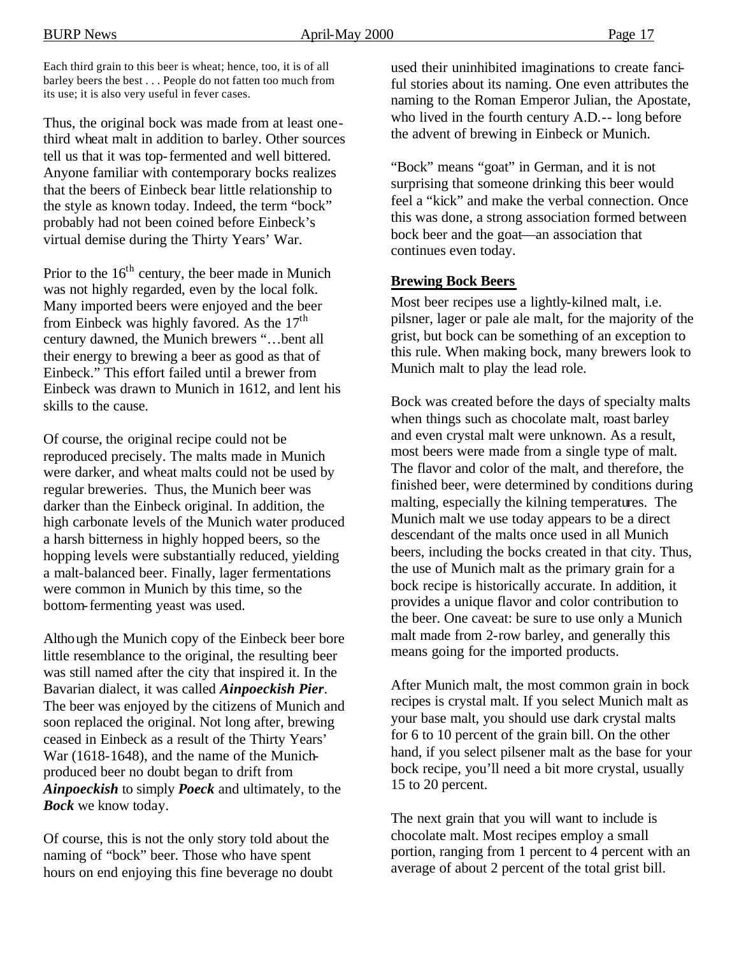Each third grain to this beer is wheat; hence, too, it is of all barley beers the best . . . People do not fatten too much from its use; it is also very useful in fever cases.

Thus, the original bock was made from at least onethird wheat malt in addition to barley. Other sources tell us that it was top-fermented and well bittered. Anyone familiar with contemporary bocks realizes that the beers of Einbeck bear little relationship to the style as known today. Indeed, the term "bock" probably had not been coined before Einbeck's virtual demise during the Thirty Years' War.

Prior to the  $16<sup>th</sup>$  century, the beer made in Munich was not highly regarded, even by the local folk. Many imported beers were enjoyed and the beer from Einbeck was highly favored. As the  $17<sup>th</sup>$ century dawned, the Munich brewers "…bent all their energy to brewing a beer as good as that of Einbeck." This effort failed until a brewer from Einbeck was drawn to Munich in 1612, and lent his skills to the cause.

Of course, the original recipe could not be reproduced precisely. The malts made in Munich were darker, and wheat malts could not be used by regular breweries. Thus, the Munich beer was darker than the Einbeck original. In addition, the high carbonate levels of the Munich water produced a harsh bitterness in highly hopped beers, so the hopping levels were substantially reduced, yielding a malt-balanced beer. Finally, lager fermentations were common in Munich by this time, so the bottom-fermenting yeast was used.

Although the Munich copy of the Einbeck beer bore little resemblance to the original, the resulting beer was still named after the city that inspired it. In the Bavarian dialect, it was called *Ainpoeckish Pier*. The beer was enjoyed by the citizens of Munich and soon replaced the original. Not long after, brewing ceased in Einbeck as a result of the Thirty Years' War (1618-1648), and the name of the Munichproduced beer no doubt began to drift from *Ainpoeckish* to simply *Poeck* and ultimately, to the *Bock* we know today.

Of course, this is not the only story told about the naming of "bock" beer. Those who have spent hours on end enjoying this fine beverage no doubt used their uninhibited imaginations to create fanciful stories about its naming. One even attributes the naming to the Roman Emperor Julian, the Apostate, who lived in the fourth century A.D.-- long before the advent of brewing in Einbeck or Munich.

"Bock" means "goat" in German, and it is not surprising that someone drinking this beer would feel a "kick" and make the verbal connection. Once this was done, a strong association formed between bock beer and the goat—an association that continues even today.

#### **Brewing Bock Beers**

Most beer recipes use a lightly-kilned malt, i.e. pilsner, lager or pale ale malt, for the majority of the grist, but bock can be something of an exception to this rule. When making bock, many brewers look to Munich malt to play the lead role.

Bock was created before the days of specialty malts when things such as chocolate malt, roast barley and even crystal malt were unknown. As a result, most beers were made from a single type of malt. The flavor and color of the malt, and therefore, the finished beer, were determined by conditions during malting, especially the kilning temperatures. The Munich malt we use today appears to be a direct descendant of the malts once used in all Munich beers, including the bocks created in that city. Thus, the use of Munich malt as the primary grain for a bock recipe is historically accurate. In addition, it provides a unique flavor and color contribution to the beer. One caveat: be sure to use only a Munich malt made from 2-row barley, and generally this means going for the imported products.

After Munich malt, the most common grain in bock recipes is crystal malt. If you select Munich malt as your base malt, you should use dark crystal malts for 6 to 10 percent of the grain bill. On the other hand, if you select pilsener malt as the base for your bock recipe, you'll need a bit more crystal, usually 15 to 20 percent.

The next grain that you will want to include is chocolate malt. Most recipes employ a small portion, ranging from 1 percent to 4 percent with an average of about 2 percent of the total grist bill.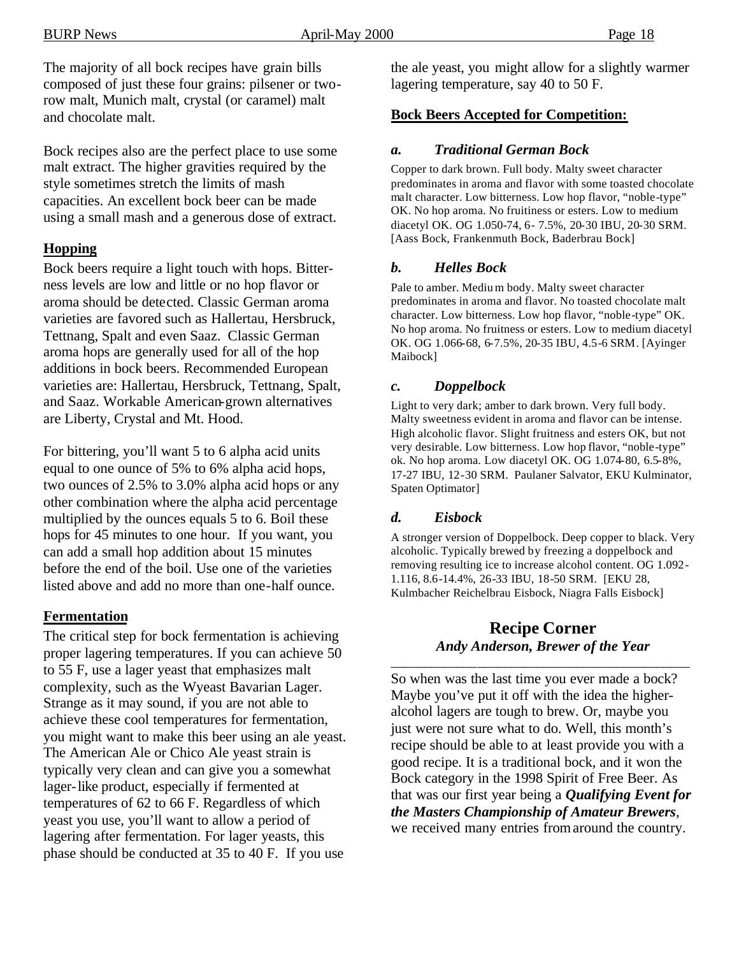The majority of all bock recipes have grain bills composed of just these four grains: pilsener or tworow malt, Munich malt, crystal (or caramel) malt and chocolate malt.

Bock recipes also are the perfect place to use some malt extract. The higher gravities required by the style sometimes stretch the limits of mash capacities. An excellent bock beer can be made using a small mash and a generous dose of extract.

# **Hopping**

Bock beers require a light touch with hops. Bitterness levels are low and little or no hop flavor or aroma should be detected. Classic German aroma varieties are favored such as Hallertau, Hersbruck, Tettnang, Spalt and even Saaz. Classic German aroma hops are generally used for all of the hop additions in bock beers. Recommended European varieties are: Hallertau, Hersbruck, Tettnang, Spalt, and Saaz. Workable American-grown alternatives are Liberty, Crystal and Mt. Hood.

For bittering, you'll want 5 to 6 alpha acid units equal to one ounce of 5% to 6% alpha acid hops, two ounces of 2.5% to 3.0% alpha acid hops or any other combination where the alpha acid percentage multiplied by the ounces equals 5 to 6. Boil these hops for 45 minutes to one hour. If you want, you can add a small hop addition about 15 minutes before the end of the boil. Use one of the varieties listed above and add no more than one-half ounce.

# **Fermentation**

The critical step for bock fermentation is achieving proper lagering temperatures. If you can achieve 50 to 55 F, use a lager yeast that emphasizes malt complexity, such as the Wyeast Bavarian Lager. Strange as it may sound, if you are not able to achieve these cool temperatures for fermentation, you might want to make this beer using an ale yeast. The American Ale or Chico Ale yeast strain is typically very clean and can give you a somewhat lager-like product, especially if fermented at temperatures of 62 to 66 F. Regardless of which yeast you use, you'll want to allow a period of lagering after fermentation. For lager yeasts, this phase should be conducted at 35 to 40 F. If you use

the ale yeast, you might allow for a slightly warmer lagering temperature, say 40 to 50 F.

# **Bock Beers Accepted for Competition:**

# *a. Traditional German Bock*

Copper to dark brown. Full body. Malty sweet character predominates in aroma and flavor with some toasted chocolate malt character. Low bitterness. Low hop flavor, "noble-type" OK. No hop aroma. No fruitiness or esters. Low to medium diacetyl OK. OG 1.050-74, 6- 7.5%, 20-30 IBU, 20-30 SRM. [Aass Bock, Frankenmuth Bock, Baderbrau Bock]

#### *b. Helles Bock*

Pale to amber. Mediu m body. Malty sweet character predominates in aroma and flavor. No toasted chocolate malt character. Low bitterness. Low hop flavor, "noble-type" OK. No hop aroma. No fruitness or esters. Low to medium diacetyl OK. OG 1.066-68, 6-7.5%, 20-35 IBU, 4.5-6 SRM. [Ayinger Maibock]

#### *c. Doppelbock*

Light to very dark; amber to dark brown. Very full body. Malty sweetness evident in aroma and flavor can be intense. High alcoholic flavor. Slight fruitness and esters OK, but not very desirable. Low bitterness. Low hop flavor, "noble-type" ok. No hop aroma. Low diacetyl OK. OG 1.074-80, 6.5-8%, 17-27 IBU, 12-30 SRM. Paulaner Salvator, EKU Kulminator, Spaten Optimator]

# *d. Eisbock*

A stronger version of Doppelbock. Deep copper to black. Very alcoholic. Typically brewed by freezing a doppelbock and removing resulting ice to increase alcohol content. OG 1.092- 1.116, 8.6-14.4%, 26-33 IBU, 18-50 SRM. [EKU 28, Kulmbacher Reichelbrau Eisbock, Niagra Falls Eisbock]

#### **Recipe Corner** *Andy Anderson, Brewer of the Year*

\_\_\_\_\_\_\_\_\_\_\_\_\_\_\_\_\_\_\_\_\_\_\_\_\_\_\_\_\_\_\_\_\_\_\_\_\_\_\_\_\_\_\_\_\_

So when was the last time you ever made a bock? Maybe you've put it off with the idea the higheralcohol lagers are tough to brew. Or, maybe you just were not sure what to do. Well, this month's recipe should be able to at least provide you with a good recipe. It is a traditional bock, and it won the Bock category in the 1998 Spirit of Free Beer. As that was our first year being a *Qualifying Event for the Masters Championship of Amateur Brewers*, we received many entries from around the country.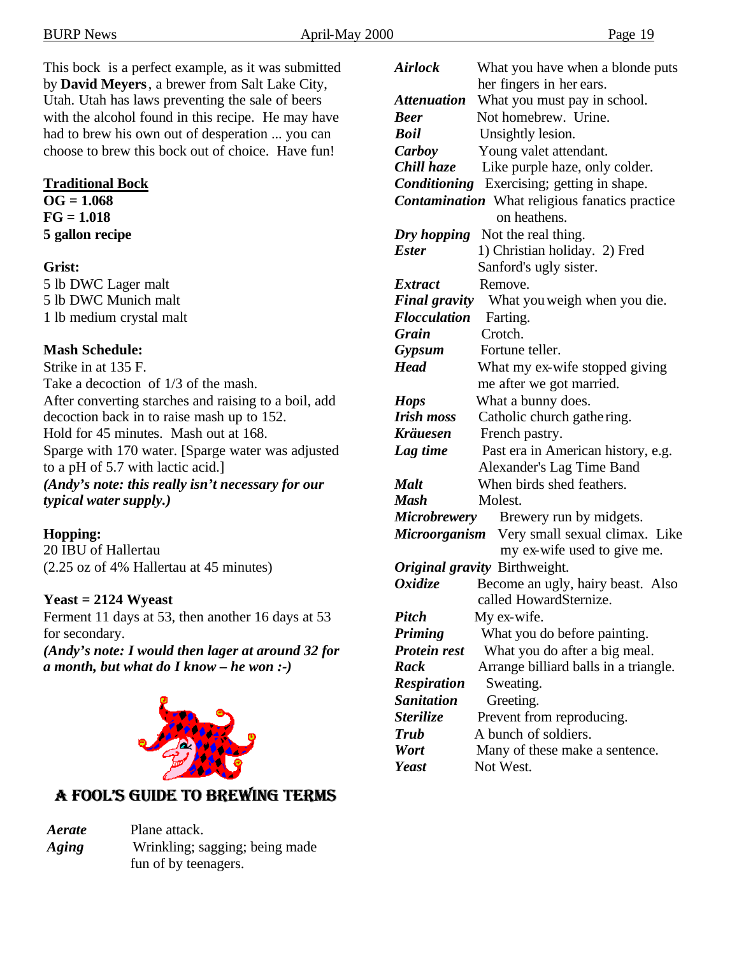This bock is a perfect example, as it was submitted by **David Meyers**, a brewer from Salt Lake City, Utah. Utah has laws preventing the sale of beers with the alcohol found in this recipe. He may have had to brew his own out of desperation ... you can choose to brew this bock out of choice. Have fun!

#### **Traditional Bock**

**OG = 1.068 FG = 1.018 5 gallon recipe**

#### **Grist:**

5 lb DWC Lager malt 5 lb DWC Munich malt 1 lb medium crystal malt

# **Mash Schedule:**

Strike in at 135 F. Take a decoction of 1/3 of the mash. After converting starches and raising to a boil, add decoction back in to raise mash up to 152. Hold for 45 minutes. Mash out at 168. Sparge with 170 water. [Sparge water was adjusted to a pH of 5.7 with lactic acid.] *(Andy's note: this really isn't necessary for our typical water supply.)*

# **Hopping:**

20 IBU of Hallertau (2.25 oz of 4% Hallertau at 45 minutes)

# **Yeast = 2124 Wyeast**

Ferment 11 days at 53, then another 16 days at 53 for secondary. *(Andy's note: I would then lager at around 32 for a month, but what do I know – he won :-)*



# **A Fool's Guide to Brewing Terms**

*Aerate* Plane attack. *Aging* Wrinkling; sagging; being made fun of by teenagers.

| What you have when a blonde puts                       |  |  |  |
|--------------------------------------------------------|--|--|--|
| her fingers in her ears.                               |  |  |  |
| What you must pay in school.                           |  |  |  |
| Not homebrew. Urine.                                   |  |  |  |
| Unsightly lesion.                                      |  |  |  |
| Young valet attendant.                                 |  |  |  |
| Like purple haze, only colder.                         |  |  |  |
| <b>Conditioning</b> Exercising; getting in shape.      |  |  |  |
| <b>Contamination</b> What religious fanatics practice  |  |  |  |
| on heathens.                                           |  |  |  |
| Dry hopping Not the real thing.                        |  |  |  |
| 1) Christian holiday. 2) Fred                          |  |  |  |
| Sanford's ugly sister.                                 |  |  |  |
| Remove.                                                |  |  |  |
| <b>Final gravity</b><br>What you weigh when you die.   |  |  |  |
| Farting.<br><b>Flocculation</b>                        |  |  |  |
| Crotch.                                                |  |  |  |
| Fortune teller.                                        |  |  |  |
| What my ex-wife stopped giving                         |  |  |  |
| me after we got married.                               |  |  |  |
| What a bunny does.                                     |  |  |  |
| Catholic church gathering.                             |  |  |  |
| French pastry.                                         |  |  |  |
| Past era in American history, e.g.                     |  |  |  |
| Alexander's Lag Time Band                              |  |  |  |
| When birds shed feathers.                              |  |  |  |
| Molest.                                                |  |  |  |
| <b>Microbrewery</b><br>Brewery run by midgets.         |  |  |  |
| Microorganism Very small sexual climax. Like           |  |  |  |
| my ex-wife used to give me.                            |  |  |  |
| Original gravity Birthweight.                          |  |  |  |
| Become an ugly, hairy beast. Also                      |  |  |  |
| called HowardSternize.                                 |  |  |  |
| My ex-wife.                                            |  |  |  |
| What you do before painting.                           |  |  |  |
| What you do after a big meal.                          |  |  |  |
| Arrange billiard balls in a triangle.                  |  |  |  |
| Sweating.                                              |  |  |  |
| Greeting.                                              |  |  |  |
|                                                        |  |  |  |
|                                                        |  |  |  |
| Prevent from reproducing.                              |  |  |  |
| A bunch of soldiers.<br>Many of these make a sentence. |  |  |  |
|                                                        |  |  |  |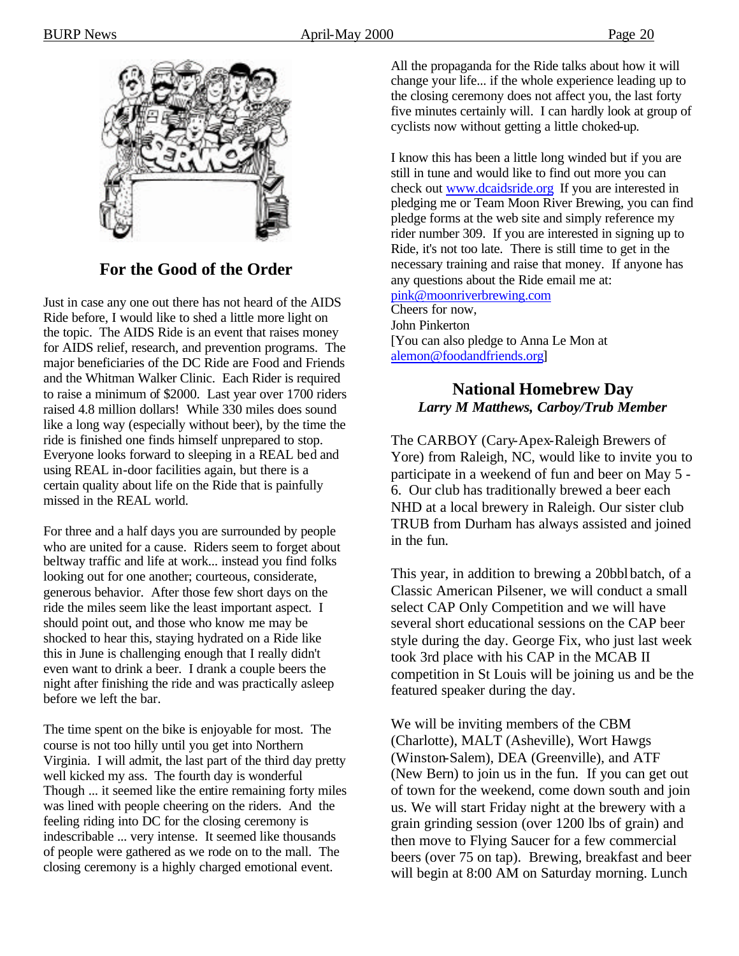

# **For the Good of the Order**

Just in case any one out there has not heard of the AIDS Ride before, I would like to shed a little more light on the topic. The AIDS Ride is an event that raises money for AIDS relief, research, and prevention programs. The major beneficiaries of the DC Ride are Food and Friends and the Whitman Walker Clinic. Each Rider is required to raise a minimum of \$2000. Last year over 1700 riders raised 4.8 million dollars! While 330 miles does sound like a long way (especially without beer), by the time the ride is finished one finds himself unprepared to stop. Everyone looks forward to sleeping in a REAL bed and using REAL in-door facilities again, but there is a certain quality about life on the Ride that is painfully missed in the REAL world.

For three and a half days you are surrounded by people who are united for a cause. Riders seem to forget about beltway traffic and life at work... instead you find folks looking out for one another; courteous, considerate, generous behavior. After those few short days on the ride the miles seem like the least important aspect. I should point out, and those who know me may be shocked to hear this, staying hydrated on a Ride like this in June is challenging enough that I really didn't even want to drink a beer. I drank a couple beers the night after finishing the ride and was practically asleep before we left the bar.

The time spent on the bike is enjoyable for most. The course is not too hilly until you get into Northern Virginia. I will admit, the last part of the third day pretty well kicked my ass. The fourth day is wonderful Though ... it seemed like the entire remaining forty miles was lined with people cheering on the riders. And the feeling riding into DC for the closing ceremony is indescribable ... very intense. It seemed like thousands of people were gathered as we rode on to the mall. The closing ceremony is a highly charged emotional event.

All the propaganda for the Ride talks about how it will change your life... if the whole experience leading up to the closing ceremony does not affect you, the last forty five minutes certainly will. I can hardly look at group of cyclists now without getting a little choked-up.

I know this has been a little long winded but if you are still in tune and would like to find out more you can check out www.dcaidsride.org If you are interested in pledging me or Team Moon River Brewing, you can find pledge forms at the web site and simply reference my rider number 309. If you are interested in signing up to Ride, it's not too late. There is still time to get in the necessary training and raise that money. If anyone has any questions about the Ride email me at: pink@moonriverbrewing.com Cheers for now, John Pinkerton

[You can also pledge to Anna Le Mon at alemon@foodandfriends.org]

# **National Homebrew Day** *Larry M Matthews, Carboy/Trub Member*

The CARBOY (Cary-Apex-Raleigh Brewers of Yore) from Raleigh, NC, would like to invite you to participate in a weekend of fun and beer on May 5 - 6. Our club has traditionally brewed a beer each NHD at a local brewery in Raleigh. Our sister club TRUB from Durham has always assisted and joined in the fun.

This year, in addition to brewing a 20bbl batch, of a Classic American Pilsener, we will conduct a small select CAP Only Competition and we will have several short educational sessions on the CAP beer style during the day. George Fix, who just last week took 3rd place with his CAP in the MCAB II competition in St Louis will be joining us and be the featured speaker during the day.

We will be inviting members of the CBM (Charlotte), MALT (Asheville), Wort Hawgs (Winston-Salem), DEA (Greenville), and ATF (New Bern) to join us in the fun. If you can get out of town for the weekend, come down south and join us. We will start Friday night at the brewery with a grain grinding session (over 1200 lbs of grain) and then move to Flying Saucer for a few commercial beers (over 75 on tap). Brewing, breakfast and beer will begin at 8:00 AM on Saturday morning. Lunch